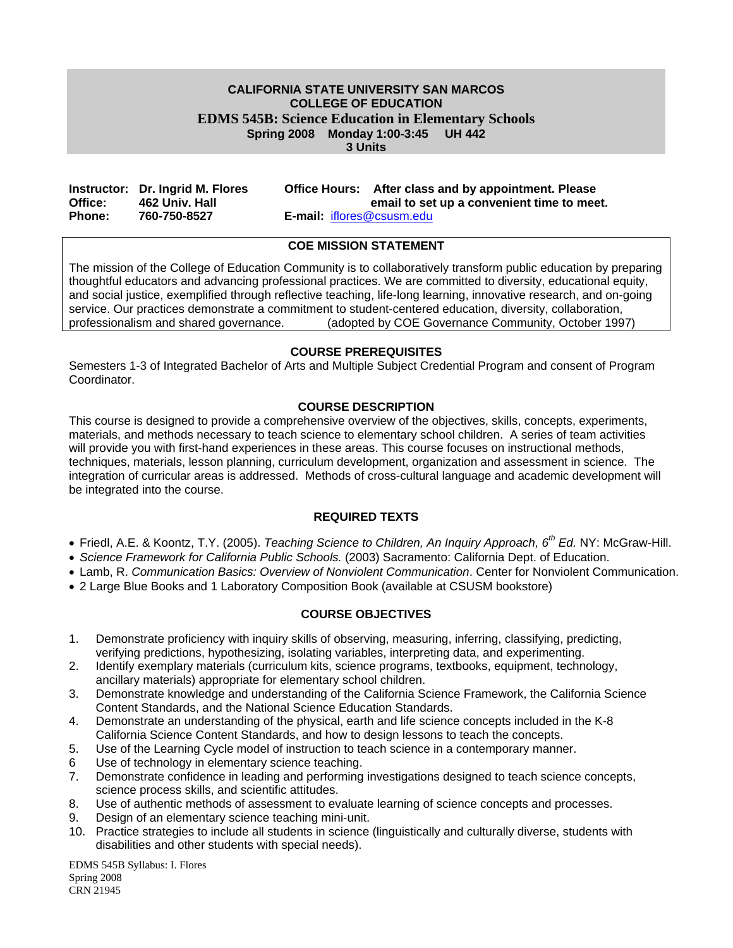#### **CALIFORNIA STATE UNIVERSITY SAN MARCOS COLLEGE OF EDUCATION EDMS 545B: Science Education in Elementary Schools Spring 2008 Monday 1:00-3:45 UH 442 3 Units**

|               | Instructor: Dr. Ingrid M. Flores |                                  | Office Hours: After class and by appointment. Please |
|---------------|----------------------------------|----------------------------------|------------------------------------------------------|
| Office:       | 462 Univ. Hall                   |                                  | email to set up a convenient time to meet.           |
| <b>Phone:</b> | 760-750-8527                     | <b>E-mail:</b> iflores@csusm.edu |                                                      |

#### **COE MISSION STATEMENT**

The mission of the College of Education Community is to collaboratively transform public education by preparing thoughtful educators and advancing professional practices. We are committed to diversity, educational equity, and social justice, exemplified through reflective teaching, life-long learning, innovative research, and on-going service. Our practices demonstrate a commitment to student-centered education, diversity, collaboration, professionalism and shared governance. (adopted by COE Governance Community, October 1997)

#### **COURSE PREREQUISITES**

Semesters 1-3 of Integrated Bachelor of Arts and Multiple Subject Credential Program and consent of Program **Coordinator** 

#### **COURSE DESCRIPTION**

This course is designed to provide a comprehensive overview of the objectives, skills, concepts, experiments, materials, and methods necessary to teach science to elementary school children. A series of team activities will provide you with first-hand experiences in these areas. This course focuses on instructional methods, techniques, materials, lesson planning, curriculum development, organization and assessment in science. The integration of curricular areas is addressed. Methods of cross-cultural language and academic development will be integrated into the course.

#### **REQUIRED TEXTS**

- Friedl, A.E. & Koontz, T.Y. (2005). *Teaching Science to Children, An Inquiry Approach, 6th Ed.* NY: McGraw-Hill.
- *Science Framework for California Public Schools.* (2003) Sacramento: California Dept. of Education.
- Lamb, R. *Communication Basics: Overview of Nonviolent Communication*. Center for Nonviolent Communication.
- 2 Large Blue Books and 1 Laboratory Composition Book (available at CSUSM bookstore)

## **COURSE OBJECTIVES**

- 1. Demonstrate proficiency with inquiry skills of observing, measuring, inferring, classifying, predicting, verifying predictions, hypothesizing, isolating variables, interpreting data, and experimenting.
- 2. Identify exemplary materials (curriculum kits, science programs, textbooks, equipment, technology, ancillary materials) appropriate for elementary school children.
- 3. Demonstrate knowledge and understanding of the California Science Framework, the California Science Content Standards, and the National Science Education Standards.
- 4. Demonstrate an understanding of the physical, earth and life science concepts included in the K-8 California Science Content Standards, and how to design lessons to teach the concepts.
- 5. Use of the Learning Cycle model of instruction to teach science in a contemporary manner.
- 6 Use of technology in elementary science teaching.
- 7. Demonstrate confidence in leading and performing investigations designed to teach science concepts, science process skills, and scientific attitudes.
- 8. Use of authentic methods of assessment to evaluate learning of science concepts and processes.
- 9. Design of an elementary science teaching mini-unit.
- 10. Practice strategies to include all students in science (linguistically and culturally diverse, students with disabilities and other students with special needs).

EDMS 545B Syllabus: I. Flores Spring 2008 CRN 21945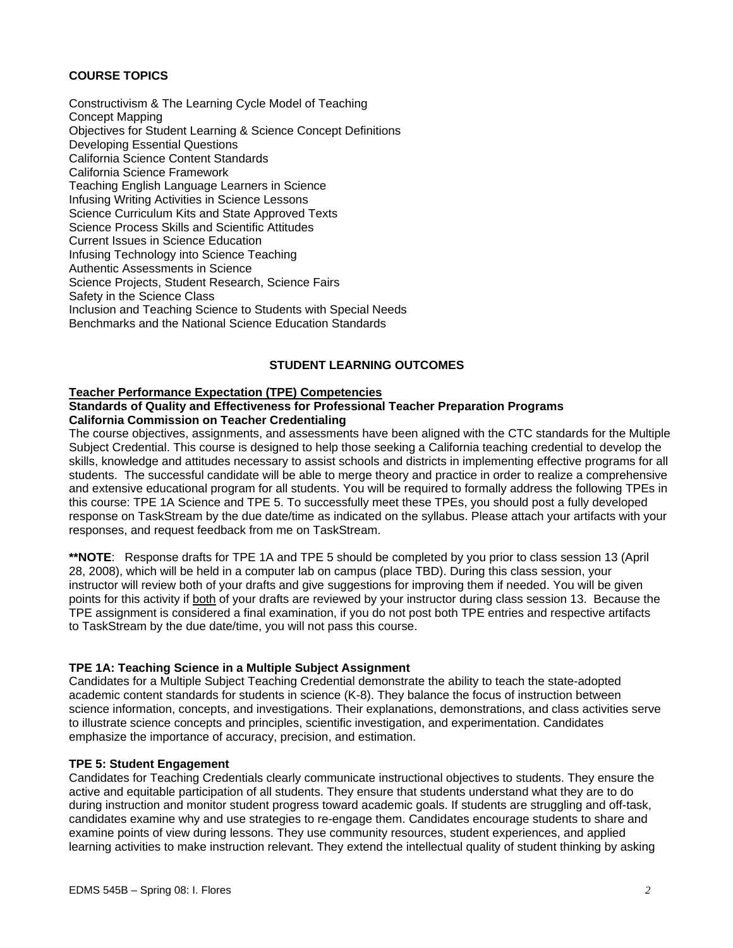## **COURSE TOPICS**

Constructivism & The Learning Cycle Model of Teaching Concept Mapping Objectives for Student Learning & Science Concept Definitions Developing Essential Questions California Science Content Standards California Science Framework Teaching English Language Learners in Science Infusing Writing Activities in Science Lessons Science Curriculum Kits and State Approved Texts Science Process Skills and Scientific Attitudes Current Issues in Science Education Infusing Technology into Science Teaching Authentic Assessments in Science Science Projects, Student Research, Science Fairs Safety in the Science Class Inclusion and Teaching Science to Students with Special Needs Benchmarks and the National Science Education Standards

## **STUDENT LEARNING OUTCOMES**

#### **Teacher Performance Expectation (TPE) Competencies**

#### **Standards of Quality and Effectiveness for Professional Teacher Preparation Programs California Commission on Teacher Credentialing**

The course objectives, assignments, and assessments have been aligned with the CTC standards for the Multiple Subject Credential. This course is designed to help those seeking a California teaching credential to develop the skills, knowledge and attitudes necessary to assist schools and districts in implementing effective programs for all students. The successful candidate will be able to merge theory and practice in order to realize a comprehensive and extensive educational program for all students. You will be required to formally address the following TPEs in this course: TPE 1A Science and TPE 5. To successfully meet these TPEs, you should post a fully developed response on TaskStream by the due date/time as indicated on the syllabus. Please attach your artifacts with your responses, and request feedback from me on TaskStream.

**\*\*NOTE**: Response drafts for TPE 1A and TPE 5 should be completed by you prior to class session 13 (April 28, 2008), which will be held in a computer lab on campus (place TBD). During this class session, your instructor will review both of your drafts and give suggestions for improving them if needed. You will be given points for this activity if both of your drafts are reviewed by your instructor during class session 13. Because the TPE assignment is considered a final examination, if you do not post both TPE entries and respective artifacts to TaskStream by the due date/time, you will not pass this course.

#### **TPE 1A: Teaching Science in a Multiple Subject Assignment**

Candidates for a Multiple Subject Teaching Credential demonstrate the ability to teach the state-adopted academic content standards for students in science (K-8). They balance the focus of instruction between science information, concepts, and investigations. Their explanations, demonstrations, and class activities serve to illustrate science concepts and principles, scientific investigation, and experimentation. Candidates emphasize the importance of accuracy, precision, and estimation.

#### **TPE 5: Student Engagement**

Candidates for Teaching Credentials clearly communicate instructional objectives to students. They ensure the active and equitable participation of all students. They ensure that students understand what they are to do during instruction and monitor student progress toward academic goals. If students are struggling and off-task, candidates examine why and use strategies to re-engage them. Candidates encourage students to share and examine points of view during lessons. They use community resources, student experiences, and applied learning activities to make instruction relevant. They extend the intellectual quality of student thinking by asking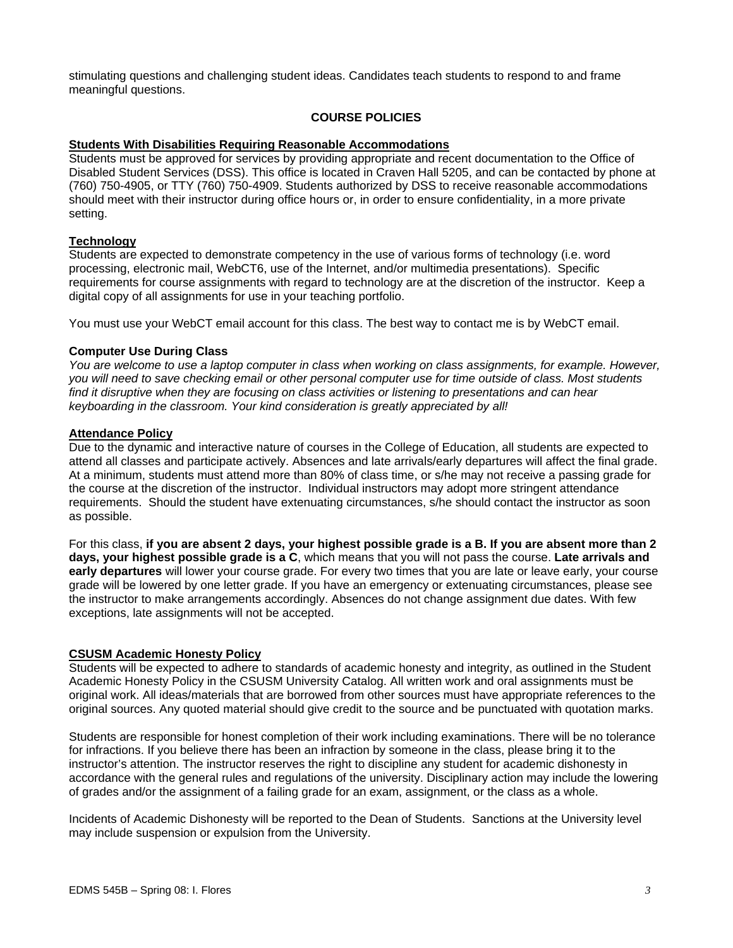stimulating questions and challenging student ideas. Candidates teach students to respond to and frame meaningful questions.

## **COURSE POLICIES**

#### **Students With Disabilities Requiring Reasonable Accommodations**

Students must be approved for services by providing appropriate and recent documentation to the Office of Disabled Student Services (DSS). This office is located in Craven Hall 5205, and can be contacted by phone at (760) 750-4905, or TTY (760) 750-4909. Students authorized by DSS to receive reasonable accommodations should meet with their instructor during office hours or, in order to ensure confidentiality, in a more private setting.

#### **Technology**

Students are expected to demonstrate competency in the use of various forms of technology (i.e. word processing, electronic mail, WebCT6, use of the Internet, and/or multimedia presentations). Specific requirements for course assignments with regard to technology are at the discretion of the instructor. Keep a digital copy of all assignments for use in your teaching portfolio.

You must use your WebCT email account for this class. The best way to contact me is by WebCT email.

#### **Computer Use During Class**

*You are welcome to use a laptop computer in class when working on class assignments, for example. However, you will need to save checking email or other personal computer use for time outside of class. Most students*  find it disruptive when they are focusing on class activities or listening to presentations and can hear *keyboarding in the classroom. Your kind consideration is greatly appreciated by all!* 

#### **Attendance Policy**

Due to the dynamic and interactive nature of courses in the College of Education, all students are expected to attend all classes and participate actively. Absences and late arrivals/early departures will affect the final grade. At a minimum, students must attend more than 80% of class time, or s/he may not receive a passing grade for the course at the discretion of the instructor. Individual instructors may adopt more stringent attendance requirements. Should the student have extenuating circumstances, s/he should contact the instructor as soon as possible.

For this class, **if you are absent 2 days, your highest possible grade is a B. If you are absent more than 2 days, your highest possible grade is a C**, which means that you will not pass the course. **Late arrivals and early departures** will lower your course grade. For every two times that you are late or leave early, your course grade will be lowered by one letter grade. If you have an emergency or extenuating circumstances, please see the instructor to make arrangements accordingly. Absences do not change assignment due dates. With few exceptions, late assignments will not be accepted.

#### **CSUSM Academic Honesty Policy**

Students will be expected to adhere to standards of academic honesty and integrity, as outlined in the Student Academic Honesty Policy in the CSUSM University Catalog. All written work and oral assignments must be original work. All ideas/materials that are borrowed from other sources must have appropriate references to the original sources. Any quoted material should give credit to the source and be punctuated with quotation marks.

Students are responsible for honest completion of their work including examinations. There will be no tolerance for infractions. If you believe there has been an infraction by someone in the class, please bring it to the instructor's attention. The instructor reserves the right to discipline any student for academic dishonesty in accordance with the general rules and regulations of the university. Disciplinary action may include the lowering of grades and/or the assignment of a failing grade for an exam, assignment, or the class as a whole.

Incidents of Academic Dishonesty will be reported to the Dean of Students. Sanctions at the University level may include suspension or expulsion from the University.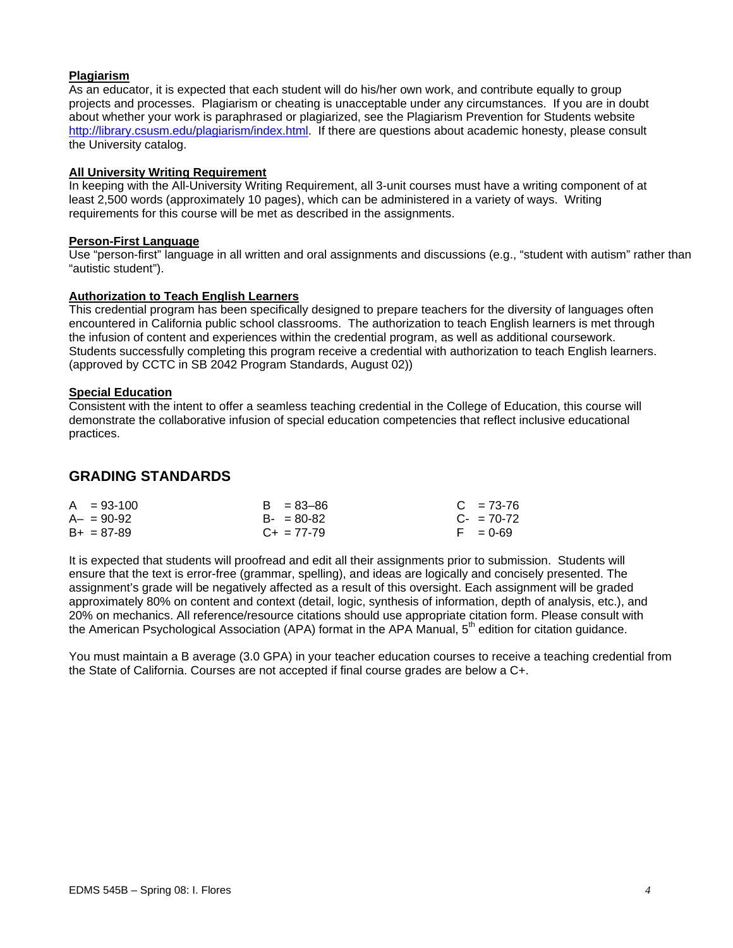## **Plagiarism**

As an educator, it is expected that each student will do his/her own work, and contribute equally to group projects and processes. Plagiarism or cheating is unacceptable under any circumstances. If you are in doubt about whether your work is paraphrased or plagiarized, see the Plagiarism Prevention for Students website http://library.csusm.edu/plagiarism/index.html. If there are questions about academic honesty, please consult the University catalog.

#### **All University Writing Requirement**

In keeping with the All-University Writing Requirement, all 3-unit courses must have a writing component of at least 2,500 words (approximately 10 pages), which can be administered in a variety of ways. Writing requirements for this course will be met as described in the assignments.

#### **Person-First Language**

Use "person-first" language in all written and oral assignments and discussions (e.g., "student with autism" rather than "autistic student").

## **Authorization to Teach English Learners**

This credential program has been specifically designed to prepare teachers for the diversity of languages often encountered in California public school classrooms. The authorization to teach English learners is met through the infusion of content and experiences within the credential program, as well as additional coursework. Students successfully completing this program receive a credential with authorization to teach English learners. (approved by CCTC in SB 2042 Program Standards, August 02))

#### **Special Education**

Consistent with the intent to offer a seamless teaching credential in the College of Education, this course will demonstrate the collaborative infusion of special education competencies that reflect inclusive educational practices.

## **GRADING STANDARDS**

| $A = 93-100$    | $B = 83 - 86$   | $C = 73-76$     |
|-----------------|-----------------|-----------------|
| $A - = 90 - 92$ | $B - 80-82$     | $C_{2}$ = 70-72 |
| $B+ = 87-89$    | $C_{+}$ = 77-79 | $F = 0.69$      |

It is expected that students will proofread and edit all their assignments prior to submission. Students will ensure that the text is error-free (grammar, spelling), and ideas are logically and concisely presented. The assignment's grade will be negatively affected as a result of this oversight. Each assignment will be graded approximately 80% on content and context (detail, logic, synthesis of information, depth of analysis, etc.), and 20% on mechanics. All reference/resource citations should use appropriate citation form. Please consult with the American Psychological Association (APA) format in the APA Manual, 5<sup>th</sup> edition for citation guidance.

You must maintain a B average (3.0 GPA) in your teacher education courses to receive a teaching credential from the State of California. Courses are not accepted if final course grades are below a C+.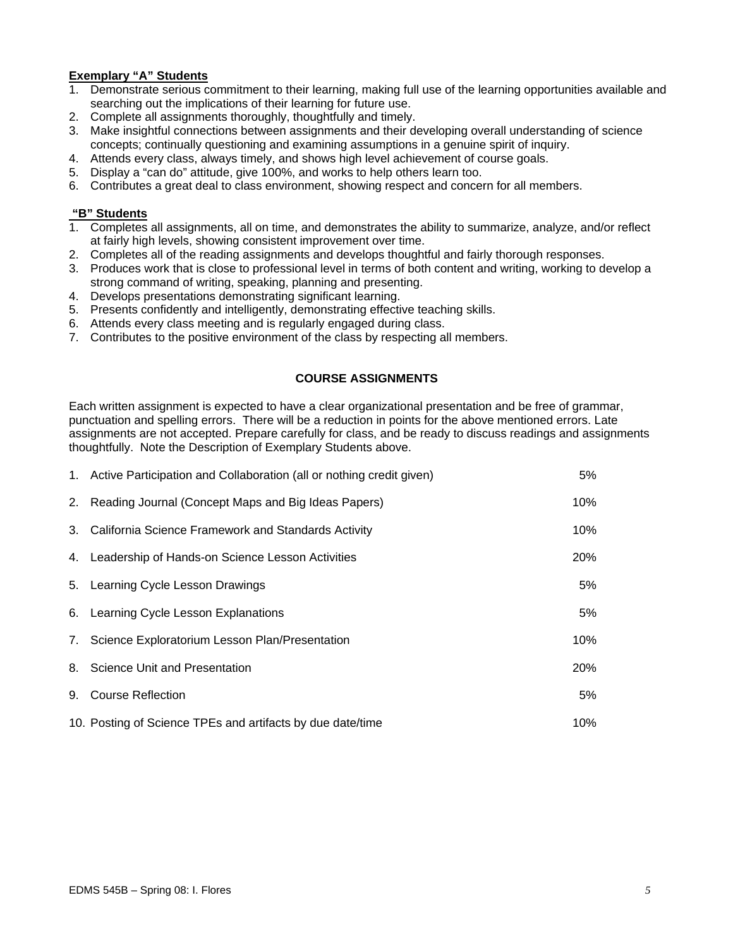## **Exemplary "A" Students**

- 1. Demonstrate serious commitment to their learning, making full use of the learning opportunities available and searching out the implications of their learning for future use.
- 2. Complete all assignments thoroughly, thoughtfully and timely.
- 3. Make insightful connections between assignments and their developing overall understanding of science concepts; continually questioning and examining assumptions in a genuine spirit of inquiry.
- 4. Attends every class, always timely, and shows high level achievement of course goals.
- 5. Display a "can do" attitude, give 100%, and works to help others learn too.
- 6. Contributes a great deal to class environment, showing respect and concern for all members.

## **"B" Students**

- 1. Completes all assignments, all on time, and demonstrates the ability to summarize, analyze, and/or reflect at fairly high levels, showing consistent improvement over time.
- 2. Completes all of the reading assignments and develops thoughtful and fairly thorough responses.
- 3. Produces work that is close to professional level in terms of both content and writing, working to develop a strong command of writing, speaking, planning and presenting.
- 4. Develops presentations demonstrating significant learning.
- 5. Presents confidently and intelligently, demonstrating effective teaching skills.
- 6. Attends every class meeting and is regularly engaged during class.
- 7. Contributes to the positive environment of the class by respecting all members.

## **COURSE ASSIGNMENTS**

Each written assignment is expected to have a clear organizational presentation and be free of grammar, punctuation and spelling errors. There will be a reduction in points for the above mentioned errors. Late assignments are not accepted. Prepare carefully for class, and be ready to discuss readings and assignments thoughtfully. Note the Description of Exemplary Students above.

| 1. Active Participation and Collaboration (all or nothing credit given) | 5%  |
|-------------------------------------------------------------------------|-----|
| 2. Reading Journal (Concept Maps and Big Ideas Papers)                  | 10% |
| 3. California Science Framework and Standards Activity                  | 10% |
| 4. Leadership of Hands-on Science Lesson Activities                     | 20% |
| 5. Learning Cycle Lesson Drawings                                       | 5%  |
| 6. Learning Cycle Lesson Explanations                                   | 5%  |
| 7. Science Exploratorium Lesson Plan/Presentation                       | 10% |
| 8. Science Unit and Presentation                                        | 20% |
| 9. Course Reflection                                                    | 5%  |
| 10. Posting of Science TPEs and artifacts by due date/time              | 10% |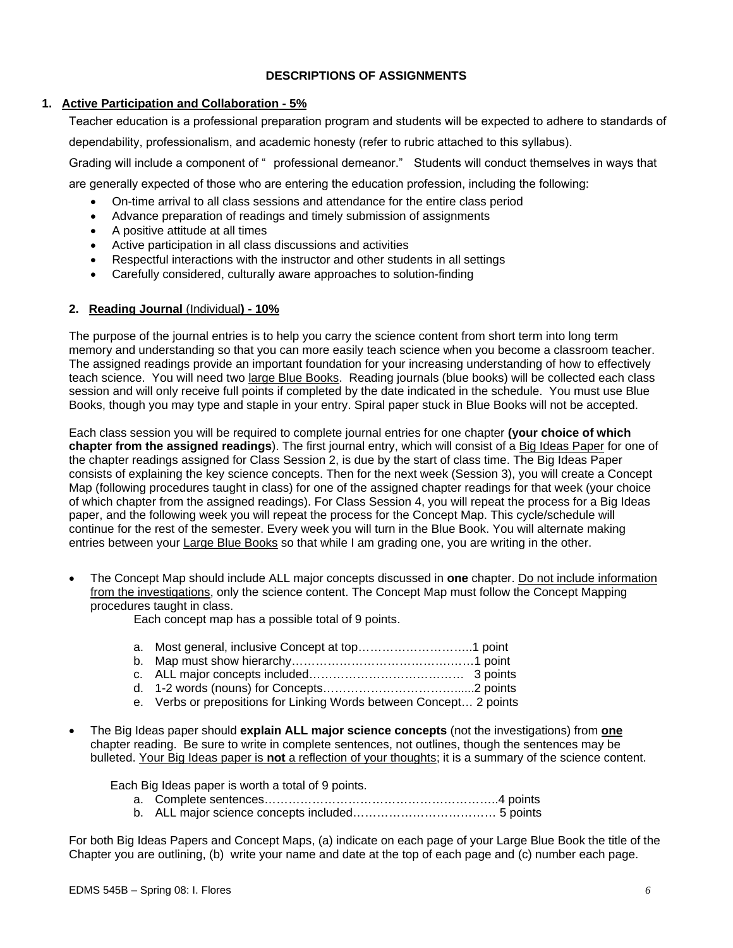## **DESCRIPTIONS OF ASSIGNMENTS**

## **1. Active Participation and Collaboration - 5%**

Teacher education is a professional preparation program and students will be expected to adhere to standards of dependability, professionalism, and academic honesty (refer to rubric attached to this syllabus).

Grading will include a component of " professional demeanor." Students will conduct themselves in ways that

are generally expected of those who are entering the education profession, including the following:

- On-time arrival to all class sessions and attendance for the entire class period
- Advance preparation of readings and timely submission of assignments
- A positive attitude at all times
- Active participation in all class discussions and activities
- Respectful interactions with the instructor and other students in all settings
- Carefully considered, culturally aware approaches to solution-finding

## **2. Reading Journal** (Individual**) - 10%**

The purpose of the journal entries is to help you carry the science content from short term into long term memory and understanding so that you can more easily teach science when you become a classroom teacher. The assigned readings provide an important foundation for your increasing understanding of how to effectively teach science. You will need two large Blue Books. Reading journals (blue books) will be collected each class session and will only receive full points if completed by the date indicated in the schedule. You must use Blue Books, though you may type and staple in your entry. Spiral paper stuck in Blue Books will not be accepted.

Each class session you will be required to complete journal entries for one chapter **(your choice of which chapter from the assigned readings**). The first journal entry, which will consist of a Big Ideas Paper for one of the chapter readings assigned for Class Session 2, is due by the start of class time. The Big Ideas Paper consists of explaining the key science concepts. Then for the next week (Session 3), you will create a Concept Map (following procedures taught in class) for one of the assigned chapter readings for that week (your choice of which chapter from the assigned readings). For Class Session 4, you will repeat the process for a Big Ideas paper, and the following week you will repeat the process for the Concept Map. This cycle/schedule will continue for the rest of the semester. Every week you will turn in the Blue Book. You will alternate making entries between your Large Blue Books so that while I am grading one, you are writing in the other.

• The Concept Map should include ALL major concepts discussed in **one** chapter. Do not include information from the investigations, only the science content. The Concept Map must follow the Concept Mapping procedures taught in class.

Each concept map has a possible total of 9 points.

- a. Most general, inclusive Concept at top………………………..1 point
- b. Map must show hierarchy………………………………….……1 point
- c. ALL major concepts included………………………………… 3 points
- d. 1-2 words (nouns) for Concepts……………………………......2 points
- e. Verbs or prepositions for Linking Words between Concept… 2 points
- The Big Ideas paper should **explain ALL major science concepts** (not the investigations) from **one**  chapter reading. Be sure to write in complete sentences, not outlines, though the sentences may be bulleted. Your Big Ideas paper is **not** a reflection of your thoughts; it is a summary of the science content.

Each Big Ideas paper is worth a total of 9 points.

- a. Complete sentences…………………………………………………..4 points
- b. ALL major science concepts included……………………………… 5 points

For both Big Ideas Papers and Concept Maps, (a) indicate on each page of your Large Blue Book the title of the Chapter you are outlining, (b) write your name and date at the top of each page and (c) number each page.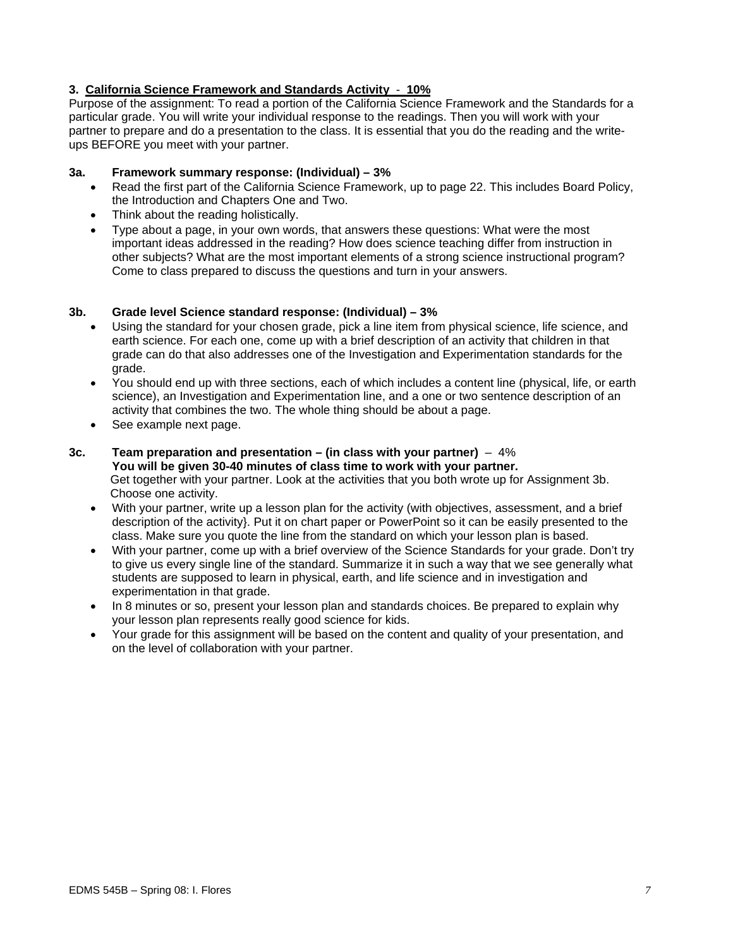## **3. California Science Framework and Standards Activity** - **10%**

Purpose of the assignment: To read a portion of the California Science Framework and the Standards for a particular grade. You will write your individual response to the readings. Then you will work with your partner to prepare and do a presentation to the class. It is essential that you do the reading and the writeups BEFORE you meet with your partner.

## **3a. Framework summary response: (Individual) – 3%**

- Read the first part of the California Science Framework, up to page 22. This includes Board Policy, the Introduction and Chapters One and Two.
- Think about the reading holistically.
- Type about a page, in your own words, that answers these questions: What were the most important ideas addressed in the reading? How does science teaching differ from instruction in other subjects? What are the most important elements of a strong science instructional program? Come to class prepared to discuss the questions and turn in your answers.

## **3b. Grade level Science standard response: (Individual) – 3%**

- Using the standard for your chosen grade, pick a line item from physical science, life science, and earth science. For each one, come up with a brief description of an activity that children in that grade can do that also addresses one of the Investigation and Experimentation standards for the grade.
- You should end up with three sections, each of which includes a content line (physical, life, or earth science), an Investigation and Experimentation line, and a one or two sentence description of an activity that combines the two. The whole thing should be about a page.
- See example next page.

#### **3c. Team preparation and presentation – (in class with your partner)** – 4% **You will be given 30-40 minutes of class time to work with your partner.**  Get together with your partner. Look at the activities that you both wrote up for Assignment 3b. Choose one activity.

- With your partner, write up a lesson plan for the activity (with objectives, assessment, and a brief description of the activity}. Put it on chart paper or PowerPoint so it can be easily presented to the class. Make sure you quote the line from the standard on which your lesson plan is based.
- With your partner, come up with a brief overview of the Science Standards for your grade. Don't try to give us every single line of the standard. Summarize it in such a way that we see generally what students are supposed to learn in physical, earth, and life science and in investigation and experimentation in that grade.
- In 8 minutes or so, present your lesson plan and standards choices. Be prepared to explain why your lesson plan represents really good science for kids.
- Your grade for this assignment will be based on the content and quality of your presentation, and on the level of collaboration with your partner.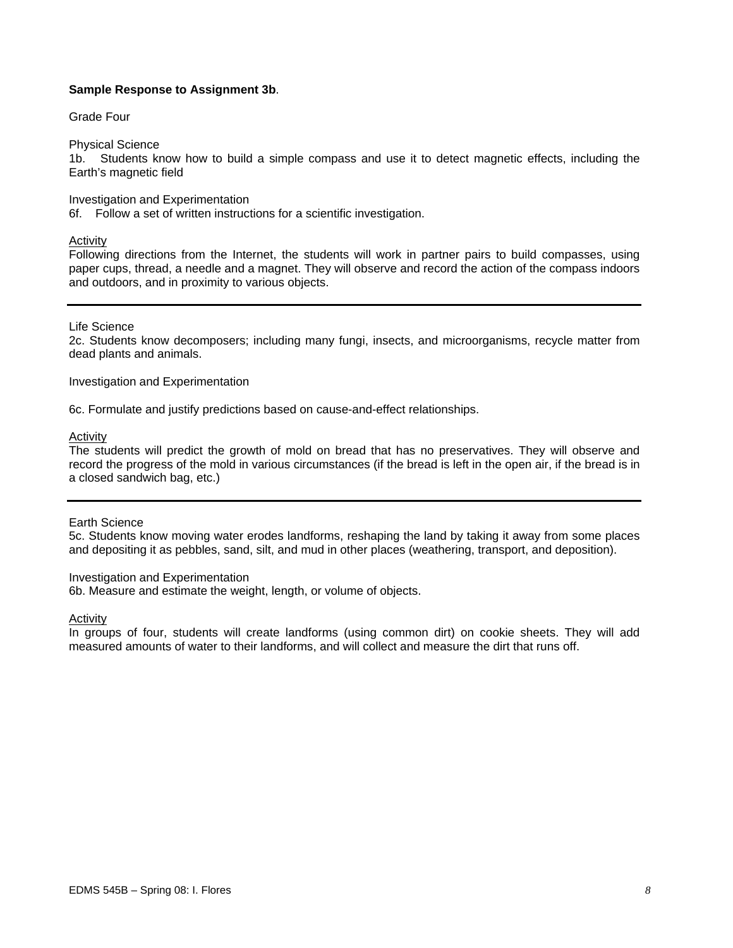## **Sample Response to Assignment 3b**.

#### Grade Four

Physical Science

1b. Students know how to build a simple compass and use it to detect magnetic effects, including the Earth's magnetic field

#### Investigation and Experimentation

6f. Follow a set of written instructions for a scientific investigation.

Activity

Following directions from the Internet, the students will work in partner pairs to build compasses, using paper cups, thread, a needle and a magnet. They will observe and record the action of the compass indoors and outdoors, and in proximity to various objects.

#### Life Science

2c. Students know decomposers; including many fungi, insects, and microorganisms, recycle matter from dead plants and animals.

Investigation and Experimentation

6c. Formulate and justify predictions based on cause-and-effect relationships.

#### **Activity**

The students will predict the growth of mold on bread that has no preservatives. They will observe and record the progress of the mold in various circumstances (if the bread is left in the open air, if the bread is in a closed sandwich bag, etc.)

#### Earth Science

5c. Students know moving water erodes landforms, reshaping the land by taking it away from some places and depositing it as pebbles, sand, silt, and mud in other places (weathering, transport, and deposition).

#### Investigation and Experimentation

6b. Measure and estimate the weight, length, or volume of objects.

#### Activity

In groups of four, students will create landforms (using common dirt) on cookie sheets. They will add measured amounts of water to their landforms, and will collect and measure the dirt that runs off.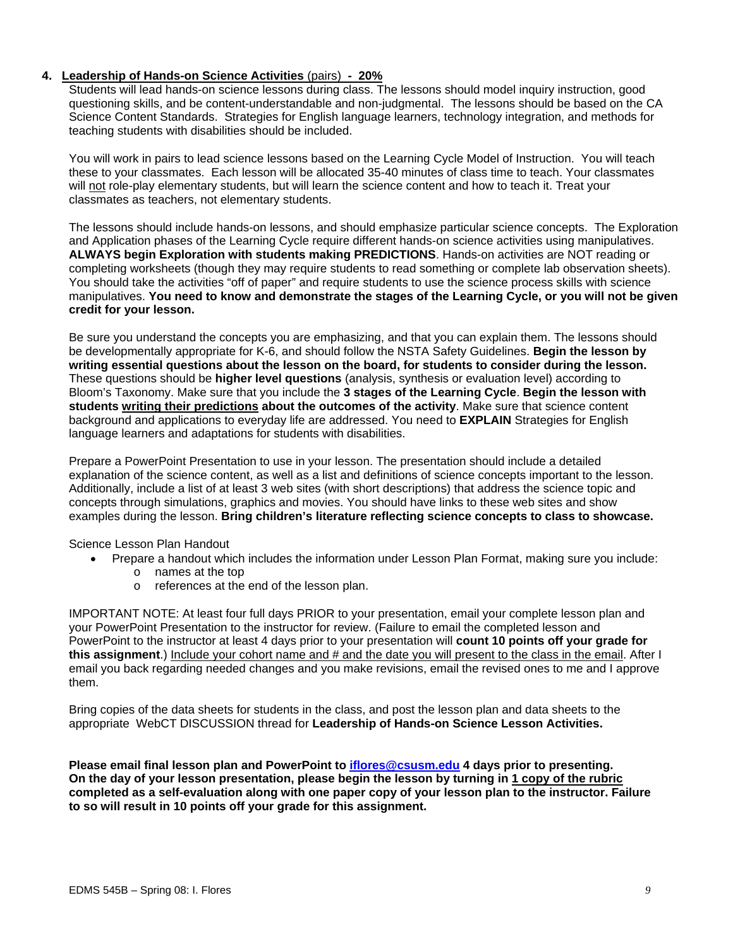## **4. Leadership of Hands-on Science Activities** (pairs) **- 20%**

Students will lead hands-on science lessons during class. The lessons should model inquiry instruction, good questioning skills, and be content-understandable and non-judgmental. The lessons should be based on the CA Science Content Standards. Strategies for English language learners, technology integration, and methods for teaching students with disabilities should be included.

You will work in pairs to lead science lessons based on the Learning Cycle Model of Instruction. You will teach these to your classmates. Each lesson will be allocated 35-40 minutes of class time to teach. Your classmates will not role-play elementary students, but will learn the science content and how to teach it. Treat your classmates as teachers, not elementary students.

The lessons should include hands-on lessons, and should emphasize particular science concepts. The Exploration and Application phases of the Learning Cycle require different hands-on science activities using manipulatives. **ALWAYS begin Exploration with students making PREDICTIONS**. Hands-on activities are NOT reading or completing worksheets (though they may require students to read something or complete lab observation sheets). You should take the activities "off of paper" and require students to use the science process skills with science manipulatives. **You need to know and demonstrate the stages of the Learning Cycle, or you will not be given credit for your lesson.**

Be sure you understand the concepts you are emphasizing, and that you can explain them. The lessons should be developmentally appropriate for K-6, and should follow the NSTA Safety Guidelines. **Begin the lesson by writing essential questions about the lesson on the board, for students to consider during the lesson.**  These questions should be **higher level questions** (analysis, synthesis or evaluation level) according to Bloom's Taxonomy. Make sure that you include the **3 stages of the Learning Cycle**. **Begin the lesson with students writing their predictions about the outcomes of the activity**. Make sure that science content background and applications to everyday life are addressed. You need to **EXPLAIN** Strategies for English language learners and adaptations for students with disabilities.

Prepare a PowerPoint Presentation to use in your lesson. The presentation should include a detailed explanation of the science content, as well as a list and definitions of science concepts important to the lesson. Additionally, include a list of at least 3 web sites (with short descriptions) that address the science topic and concepts through simulations, graphics and movies. You should have links to these web sites and show examples during the lesson. **Bring children's literature reflecting science concepts to class to showcase.**

Science Lesson Plan Handout

- Prepare a handout which includes the information under Lesson Plan Format, making sure you include:
	- o names at the top
	- o references at the end of the lesson plan.

IMPORTANT NOTE: At least four full days PRIOR to your presentation, email your complete lesson plan and your PowerPoint Presentation to the instructor for review. (Failure to email the completed lesson and PowerPoint to the instructor at least 4 days prior to your presentation will **count 10 points off your grade for this assignment**.) Include your cohort name and # and the date you will present to the class in the email. After I email you back regarding needed changes and you make revisions, email the revised ones to me and I approve them.

Bring copies of the data sheets for students in the class, and post the lesson plan and data sheets to the appropriate WebCT DISCUSSION thread for **Leadership of Hands-on Science Lesson Activities.** 

**Please email final lesson plan and PowerPoint to iflores@csusm.edu 4 days prior to presenting. On the day of your lesson presentation, please begin the lesson by turning in 1 copy of the rubric completed as a self-evaluation along with one paper copy of your lesson plan to the instructor. Failure to so will result in 10 points off your grade for this assignment.**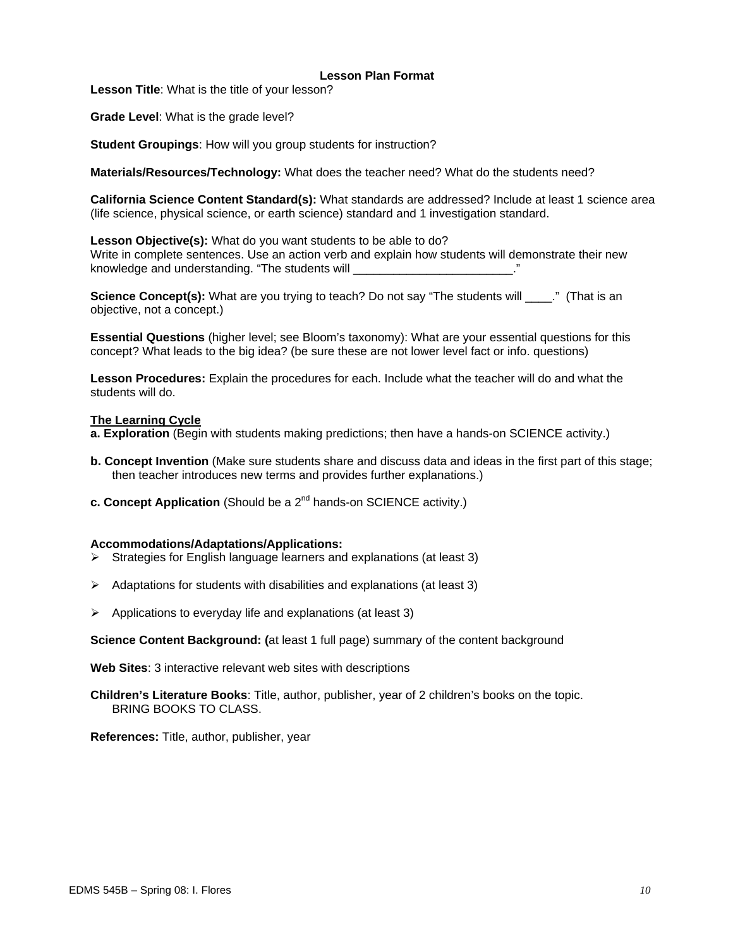#### **Lesson Plan Format**

**Lesson Title**: What is the title of your lesson?

**Grade Level**: What is the grade level?

**Student Groupings**: How will you group students for instruction?

**Materials/Resources/Technology:** What does the teacher need? What do the students need?

**California Science Content Standard(s):** What standards are addressed? Include at least 1 science area (life science, physical science, or earth science) standard and 1 investigation standard.

**Lesson Objective(s):** What do you want students to be able to do? Write in complete sentences. Use an action verb and explain how students will demonstrate their new knowledge and understanding. "The students will

**Science Concept(s):** What are you trying to teach? Do not say "The students will \_\_\_\_." (That is an objective, not a concept.)

**Essential Questions** (higher level; see Bloom's taxonomy): What are your essential questions for this concept? What leads to the big idea? (be sure these are not lower level fact or info. questions)

**Lesson Procedures:** Explain the procedures for each. Include what the teacher will do and what the students will do.

#### **The Learning Cycle**

**a. Exploration** (Begin with students making predictions; then have a hands-on SCIENCE activity.)

- **b. Concept Invention** (Make sure students share and discuss data and ideas in the first part of this stage; then teacher introduces new terms and provides further explanations.)
- **c. Concept Application** (Should be a 2<sup>nd</sup> hands-on SCIENCE activity.)

#### **Accommodations/Adaptations/Applications:**

- $\triangleright$  Strategies for English language learners and explanations (at least 3)
- $\triangleright$  Adaptations for students with disabilities and explanations (at least 3)
- $\triangleright$  Applications to everyday life and explanations (at least 3)

**Science Content Background: (**at least 1 full page) summary of the content background

**Web Sites**: 3 interactive relevant web sites with descriptions

**Children's Literature Books**: Title, author, publisher, year of 2 children's books on the topic. BRING BOOKS TO CLASS.

**References:** Title, author, publisher, year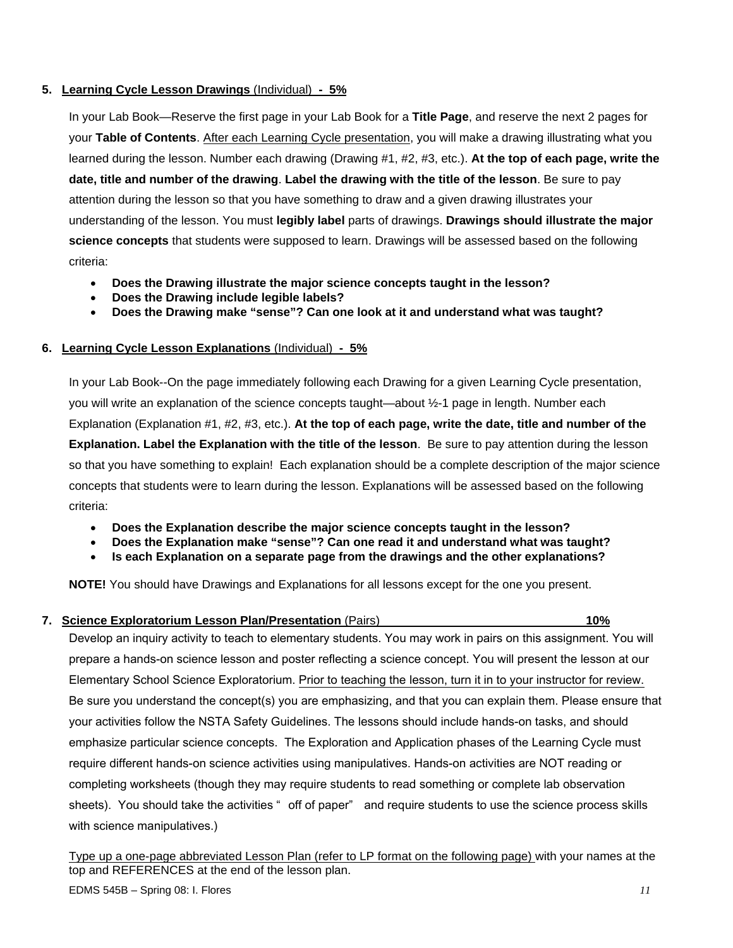## **5. Learning Cycle Lesson Drawings** (Individual) **- 5%**

In your Lab Book—Reserve the first page in your Lab Book for a **Title Page**, and reserve the next 2 pages for your **Table of Contents**. After each Learning Cycle presentation, you will make a drawing illustrating what you learned during the lesson. Number each drawing (Drawing #1, #2, #3, etc.). **At the top of each page, write the date, title and number of the drawing**. **Label the drawing with the title of the lesson**. Be sure to pay attention during the lesson so that you have something to draw and a given drawing illustrates your understanding of the lesson. You must **legibly label** parts of drawings. **Drawings should illustrate the major science concepts** that students were supposed to learn. Drawings will be assessed based on the following criteria:

- **Does the Drawing illustrate the major science concepts taught in the lesson?**
- **Does the Drawing include legible labels?**
- **Does the Drawing make "sense"? Can one look at it and understand what was taught?**

## **6. Learning Cycle Lesson Explanations** (Individual) **- 5%**

In your Lab Book--On the page immediately following each Drawing for a given Learning Cycle presentation, you will write an explanation of the science concepts taught—about ½-1 page in length. Number each Explanation (Explanation #1, #2, #3, etc.). **At the top of each page, write the date, title and number of the Explanation. Label the Explanation with the title of the lesson**. Be sure to pay attention during the lesson so that you have something to explain! Each explanation should be a complete description of the major science concepts that students were to learn during the lesson. Explanations will be assessed based on the following criteria:

- **Does the Explanation describe the major science concepts taught in the lesson?**
- **Does the Explanation make "sense"? Can one read it and understand what was taught?**
- **Is each Explanation on a separate page from the drawings and the other explanations?**

**NOTE!** You should have Drawings and Explanations for all lessons except for the one you present.

## **7. Science Exploratorium Lesson Plan/Presentation** (Pairs) **10%**

Develop an inquiry activity to teach to elementary students. You may work in pairs on this assignment. You will prepare a hands-on science lesson and poster reflecting a science concept. You will present the lesson at our Elementary School Science Exploratorium. Prior to teaching the lesson, turn it in to your instructor for review. Be sure you understand the concept(s) you are emphasizing, and that you can explain them. Please ensure that your activities follow the NSTA Safety Guidelines. The lessons should include hands-on tasks, and should emphasize particular science concepts. The Exploration and Application phases of the Learning Cycle must require different hands-on science activities using manipulatives. Hands-on activities are NOT reading or completing worksheets (though they may require students to read something or complete lab observation sheets). You should take the activities " off of paper" and require students to use the science process skills with science manipulatives.)

Type up a one-page abbreviated Lesson Plan (refer to LP format on the following page) with your names at the top and REFERENCES at the end of the lesson plan.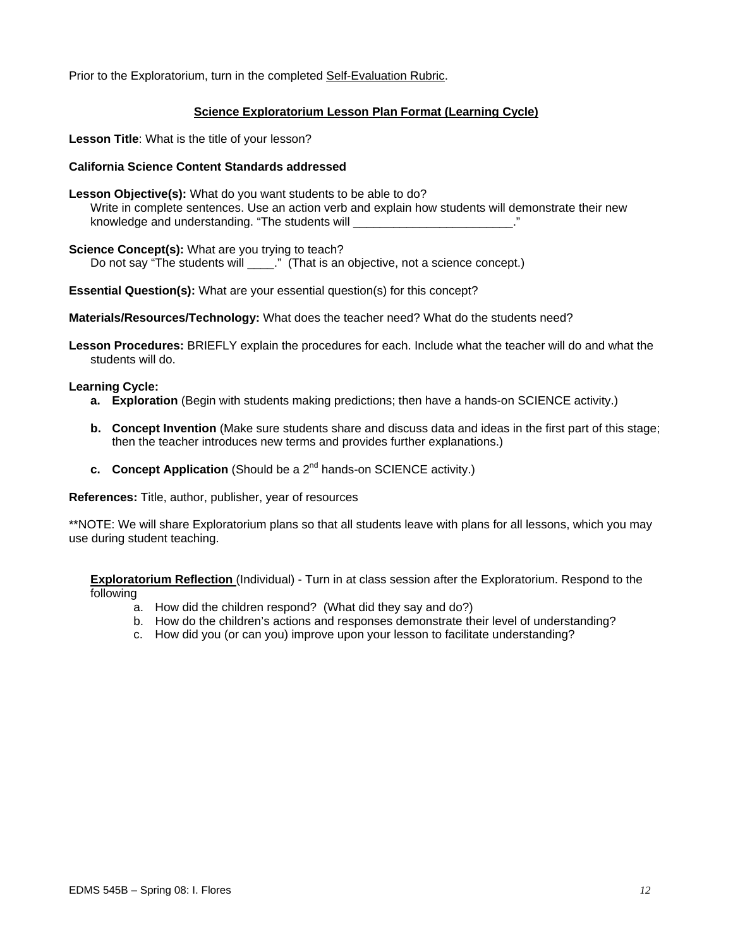Prior to the Exploratorium, turn in the completed Self-Evaluation Rubric.

## **Science Exploratorium Lesson Plan Format (Learning Cycle)**

**Lesson Title**: What is the title of your lesson?

#### **California Science Content Standards addressed**

- **Lesson Objective(s):** What do you want students to be able to do? Write in complete sentences. Use an action verb and explain how students will demonstrate their new knowledge and understanding. "The students will **with the students** will
- **Science Concept(s):** What are you trying to teach?

Do not say "The students will \_\_\_\_\_." (That is an objective, not a science concept.)

**Essential Question(s):** What are your essential question(s) for this concept?

**Materials/Resources/Technology:** What does the teacher need? What do the students need?

**Lesson Procedures:** BRIEFLY explain the procedures for each. Include what the teacher will do and what the students will do.

#### **Learning Cycle:**

- **a. Exploration** (Begin with students making predictions; then have a hands-on SCIENCE activity.)
- **b. Concept Invention** (Make sure students share and discuss data and ideas in the first part of this stage; then the teacher introduces new terms and provides further explanations.)
- **c.** Concept Application (Should be a 2<sup>nd</sup> hands-on SCIENCE activity.)

**References:** Title, author, publisher, year of resources

\*\*NOTE: We will share Exploratorium plans so that all students leave with plans for all lessons, which you may use during student teaching.

**Exploratorium Reflection** (Individual) - Turn in at class session after the Exploratorium. Respond to the following

- a. How did the children respond? (What did they say and do?)
- b. How do the children's actions and responses demonstrate their level of understanding?
- c. How did you (or can you) improve upon your lesson to facilitate understanding?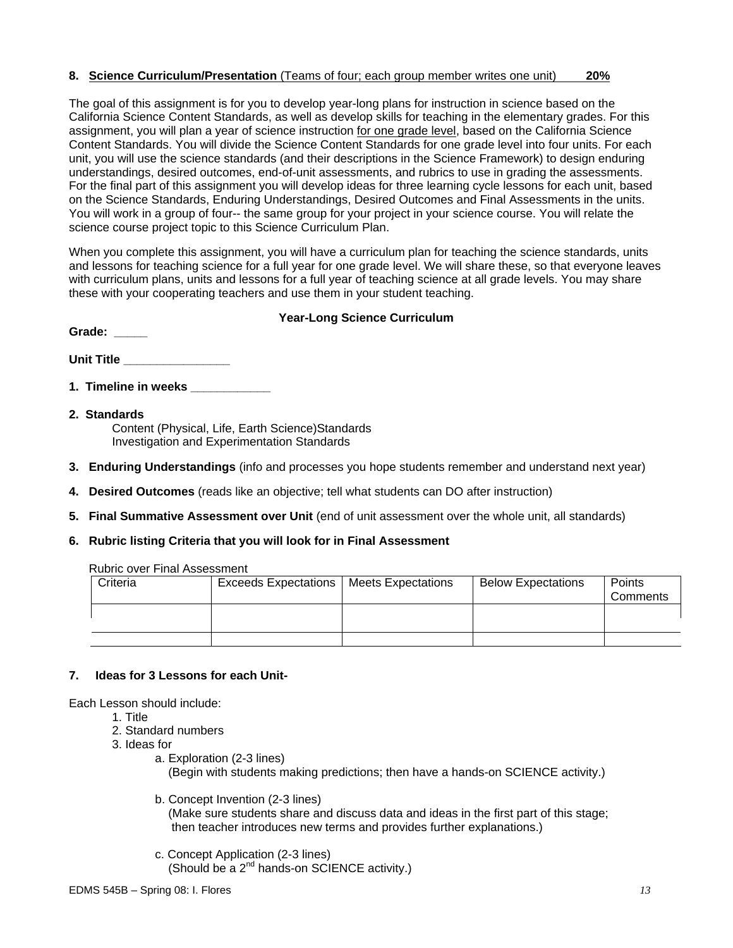## **8. Science Curriculum/Presentation** (Teams of four; each group member writes one unit) **20%**

The goal of this assignment is for you to develop year-long plans for instruction in science based on the California Science Content Standards, as well as develop skills for teaching in the elementary grades. For this assignment, you will plan a year of science instruction for one grade level, based on the California Science Content Standards. You will divide the Science Content Standards for one grade level into four units. For each unit, you will use the science standards (and their descriptions in the Science Framework) to design enduring understandings, desired outcomes, end-of-unit assessments, and rubrics to use in grading the assessments. For the final part of this assignment you will develop ideas for three learning cycle lessons for each unit, based on the Science Standards, Enduring Understandings, Desired Outcomes and Final Assessments in the units. You will work in a group of four-- the same group for your project in your science course. You will relate the science course project topic to this Science Curriculum Plan.

When you complete this assignment, you will have a curriculum plan for teaching the science standards, units and lessons for teaching science for a full year for one grade level. We will share these, so that everyone leaves with curriculum plans, units and lessons for a full year of teaching science at all grade levels. You may share these with your cooperating teachers and use them in your student teaching.

#### **Year-Long Science Curriculum**

Unit Title **With the Structure of the Unit Title** 

- **1. Timeline in weeks**
- **2. Standards**

Grade:

Content (Physical, Life, Earth Science)Standards Investigation and Experimentation Standards

- **3. Enduring Understandings** (info and processes you hope students remember and understand next year)
- **4. Desired Outcomes** (reads like an objective; tell what students can DO after instruction)
- **5. Final Summative Assessment over Unit** (end of unit assessment over the whole unit, all standards)
- **6. Rubric listing Criteria that you will look for in Final Assessment**

| Criteria | <b>Exceeds Expectations</b> | <b>Meets Expectations</b> | <b>Below Expectations</b> | Points<br>Comments |
|----------|-----------------------------|---------------------------|---------------------------|--------------------|
|          |                             |                           |                           |                    |
|          |                             |                           |                           |                    |

### Rubric over Final Assessment

#### **7. Ideas for 3 Lessons for each Unit-**

Each Lesson should include:

- 1. Title
- 2. Standard numbers
- 3. Ideas for
	- a. Exploration (2-3 lines) (Begin with students making predictions; then have a hands-on SCIENCE activity.)
	- b. Concept Invention (2-3 lines) (Make sure students share and discuss data and ideas in the first part of this stage; then teacher introduces new terms and provides further explanations.)
	- c. Concept Application (2-3 lines) (Should be a 2nd hands-on SCIENCE activity.)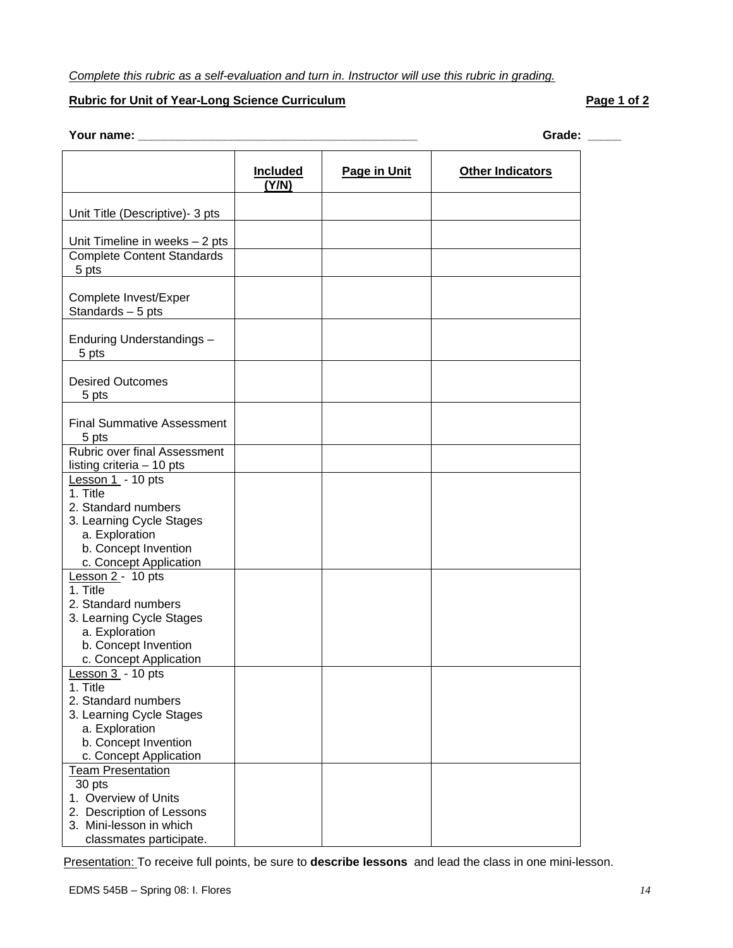## *Complete this rubric as a self-evaluation and turn in. Instructor will use this rubric in grading.*

## **Rubric for Unit of Year-Long Science Curriculum**  Page 1 of 2

## **Your name: \_\_\_\_\_\_\_\_\_\_\_\_\_\_\_\_\_\_\_\_\_\_\_\_\_\_\_\_\_\_\_\_\_\_\_\_\_\_\_\_\_\_ Grade: \_\_\_\_\_**

|                                                                                                                     | <b>Included</b><br>(Y/N) | Page in Unit | <b>Other Indicators</b> |
|---------------------------------------------------------------------------------------------------------------------|--------------------------|--------------|-------------------------|
| Unit Title (Descriptive)- 3 pts                                                                                     |                          |              |                         |
| Unit Timeline in weeks - 2 pts                                                                                      |                          |              |                         |
| <b>Complete Content Standards</b><br>5 pts                                                                          |                          |              |                         |
| Complete Invest/Exper<br>Standards - 5 pts                                                                          |                          |              |                         |
| Enduring Understandings -<br>5 pts                                                                                  |                          |              |                         |
| <b>Desired Outcomes</b><br>5 pts                                                                                    |                          |              |                         |
| <b>Final Summative Assessment</b><br>5 pts                                                                          |                          |              |                         |
| Rubric over final Assessment<br>listing criteria - 10 pts                                                           |                          |              |                         |
| Lesson 1 - 10 pts<br>1. Title                                                                                       |                          |              |                         |
| 2. Standard numbers<br>3. Learning Cycle Stages<br>a. Exploration<br>b. Concept Invention<br>c. Concept Application |                          |              |                         |
| Lesson 2 - 10 pts<br>1. Title<br>2. Standard numbers                                                                |                          |              |                         |
| 3. Learning Cycle Stages<br>a. Exploration                                                                          |                          |              |                         |
| b. Concept Invention<br>c. Concept Application                                                                      |                          |              |                         |
| Lesson $3 - 10$ pts<br>1. Title                                                                                     |                          |              |                         |
| 2. Standard numbers<br>3. Learning Cycle Stages                                                                     |                          |              |                         |
| a. Exploration<br>b. Concept Invention<br>c. Concept Application                                                    |                          |              |                         |
| <b>Team Presentation</b><br>30 pts                                                                                  |                          |              |                         |
| 1. Overview of Units<br>2. Description of Lessons                                                                   |                          |              |                         |
| 3. Mini-lesson in which<br>classmates participate.                                                                  |                          |              |                         |

Presentation: To receive full points, be sure to **describe lessons** and lead the class in one mini-lesson.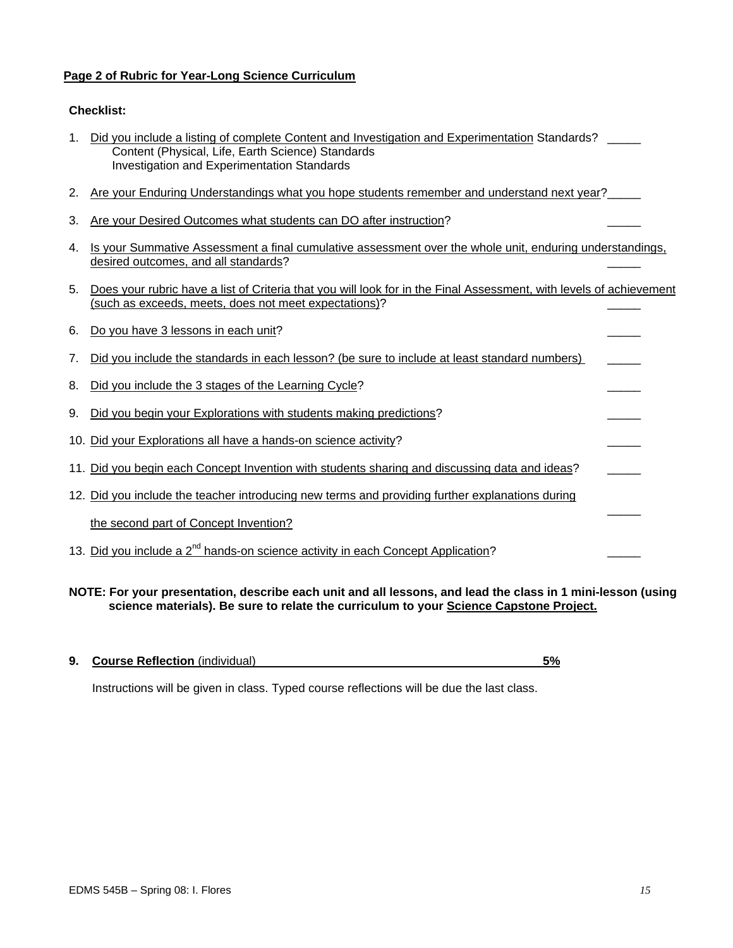## **Page 2 of Rubric for Year-Long Science Curriculum**

## **Checklist:**

| 1. Did you include a listing of complete Content and Investigation and Experimentation Standards? |  |
|---------------------------------------------------------------------------------------------------|--|
| Content (Physical, Life, Earth Science) Standards                                                 |  |
| Investigation and Experimentation Standards                                                       |  |

- 2. Are your Enduring Understandings what you hope students remember and understand next year?
- 3. Are your Desired Outcomes what students can DO after instruction?
- 4. Is your Summative Assessment a final cumulative assessment over the whole unit, enduring understandings, desired outcomes, and all standards?
- 5. Does your rubric have a list of Criteria that you will look for in the Final Assessment, with levels of achievement (such as exceeds, meets, does not meet expectations)?

| 6. | Do you have 3 lessons in each unit?                                                             |  |
|----|-------------------------------------------------------------------------------------------------|--|
| 7. | Did you include the standards in each lesson? (be sure to include at least standard numbers)    |  |
| 8. | Did you include the 3 stages of the Learning Cycle?                                             |  |
| 9. | Did you begin your Explorations with students making predictions?                               |  |
|    | 10. Did your Explorations all have a hands-on science activity?                                 |  |
|    | 11. Did you begin each Concept Invention with students sharing and discussing data and ideas?   |  |
|    | 12. Did you include the teacher introducing new terms and providing further explanations during |  |
|    | the second part of Concept Invention?                                                           |  |
|    | 13. Did you include a 2 <sup>nd</sup> hands-on science activity in each Concept Application?    |  |

**NOTE: For your presentation, describe each unit and all lessons, and lead the class in 1 mini-lesson (using science materials). Be sure to relate the curriculum to your Science Capstone Project.**

| <b>9. Course Reflection</b> (individual) |  |  |
|------------------------------------------|--|--|
|                                          |  |  |

Instructions will be given in class. Typed course reflections will be due the last class.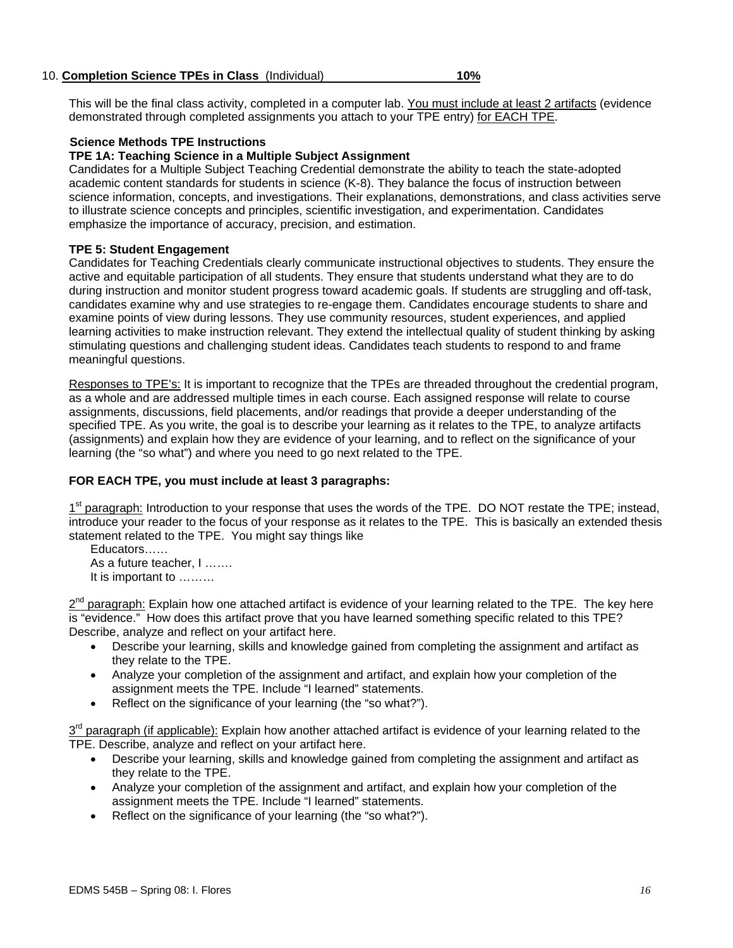#### 10. **Completion Science TPEs in Class** (Individual) **10%**

This will be the final class activity, completed in a computer lab. You must include at least 2 artifacts (evidence demonstrated through completed assignments you attach to your TPE entry) for EACH TPE.

#### **Science Methods TPE Instructions**

## **TPE 1A: Teaching Science in a Multiple Subject Assignment**

Candidates for a Multiple Subject Teaching Credential demonstrate the ability to teach the state-adopted academic content standards for students in science (K-8). They balance the focus of instruction between science information, concepts, and investigations. Their explanations, demonstrations, and class activities serve to illustrate science concepts and principles, scientific investigation, and experimentation. Candidates emphasize the importance of accuracy, precision, and estimation.

#### **TPE 5: Student Engagement**

Candidates for Teaching Credentials clearly communicate instructional objectives to students. They ensure the active and equitable participation of all students. They ensure that students understand what they are to do during instruction and monitor student progress toward academic goals. If students are struggling and off-task, candidates examine why and use strategies to re-engage them. Candidates encourage students to share and examine points of view during lessons. They use community resources, student experiences, and applied learning activities to make instruction relevant. They extend the intellectual quality of student thinking by asking stimulating questions and challenging student ideas. Candidates teach students to respond to and frame meaningful questions.

Responses to TPE's: It is important to recognize that the TPEs are threaded throughout the credential program, as a whole and are addressed multiple times in each course. Each assigned response will relate to course assignments, discussions, field placements, and/or readings that provide a deeper understanding of the specified TPE. As you write, the goal is to describe your learning as it relates to the TPE, to analyze artifacts (assignments) and explain how they are evidence of your learning, and to reflect on the significance of your learning (the "so what") and where you need to go next related to the TPE.

#### **FOR EACH TPE, you must include at least 3 paragraphs:**

1<sup>st</sup> paragraph: Introduction to your response that uses the words of the TPE. DO NOT restate the TPE; instead, introduce your reader to the focus of your response as it relates to the TPE. This is basically an extended thesis statement related to the TPE. You might say things like

Educators…… As a future teacher, I ……. It is important to ………

 $2<sup>nd</sup>$  paragraph: Explain how one attached artifact is evidence of your learning related to the TPE. The key here is "evidence." How does this artifact prove that you have learned something specific related to this TPE? Describe, analyze and reflect on your artifact here.

- Describe your learning, skills and knowledge gained from completing the assignment and artifact as they relate to the TPE.
- Analyze your completion of the assignment and artifact, and explain how your completion of the assignment meets the TPE. Include "I learned" statements.
- Reflect on the significance of your learning (the "so what?").

 $3<sup>rd</sup>$  paragraph (if applicable): Explain how another attached artifact is evidence of your learning related to the TPE. Describe, analyze and reflect on your artifact here.

- Describe your learning, skills and knowledge gained from completing the assignment and artifact as they relate to the TPE.
- Analyze your completion of the assignment and artifact, and explain how your completion of the assignment meets the TPE. Include "I learned" statements.
- Reflect on the significance of your learning (the "so what?").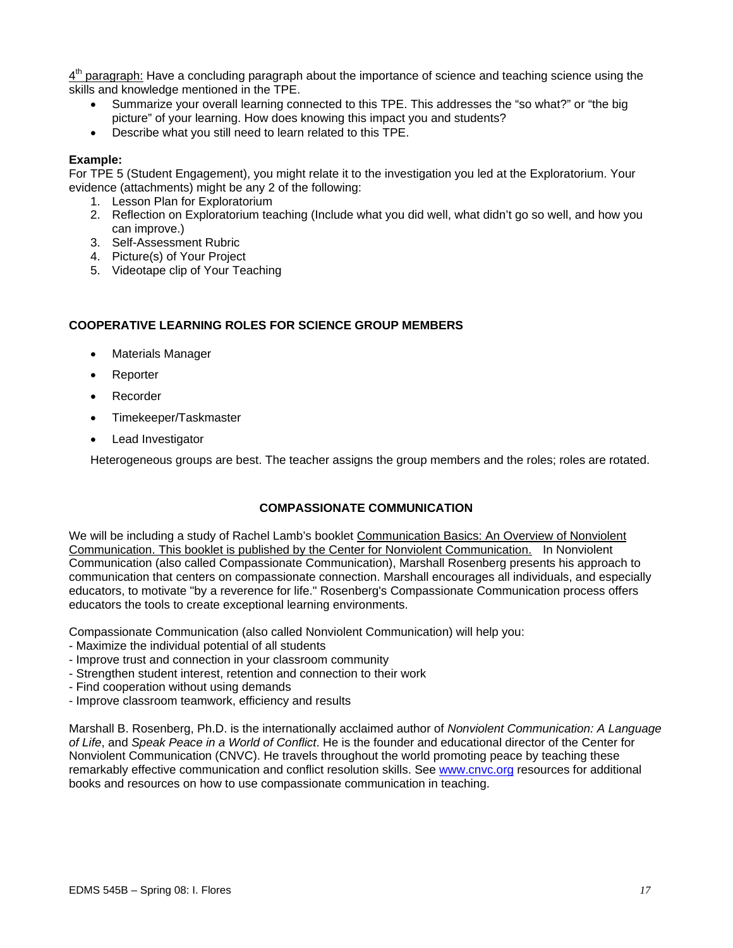$4<sup>th</sup>$  paragraph: Have a concluding paragraph about the importance of science and teaching science using the skills and knowledge mentioned in the TPE.

- Summarize your overall learning connected to this TPE. This addresses the "so what?" or "the big picture" of your learning. How does knowing this impact you and students?
- Describe what you still need to learn related to this TPE.

#### **Example:**

For TPE 5 (Student Engagement), you might relate it to the investigation you led at the Exploratorium. Your evidence (attachments) might be any 2 of the following:

- 1. Lesson Plan for Exploratorium
- 2. Reflection on Exploratorium teaching (Include what you did well, what didn't go so well, and how you can improve.)
- 3. Self-Assessment Rubric
- 4. Picture(s) of Your Project
- 5. Videotape clip of Your Teaching

## **COOPERATIVE LEARNING ROLES FOR SCIENCE GROUP MEMBERS**

- Materials Manager
- Reporter
- Recorder
- Timekeeper/Taskmaster
- Lead Investigator

Heterogeneous groups are best. The teacher assigns the group members and the roles; roles are rotated.

### **COMPASSIONATE COMMUNICATION**

We will be including a study of Rachel Lamb's booklet Communication Basics: An Overview of Nonviolent Communication. This booklet is published by the Center for Nonviolent Communication. In Nonviolent Communication (also called Compassionate Communication), Marshall Rosenberg presents his approach to communication that centers on compassionate connection. Marshall encourages all individuals, and especially educators, to motivate "by a reverence for life." Rosenberg's Compassionate Communication process offers educators the tools to create exceptional learning environments.

Compassionate Communication (also called Nonviolent Communication) will help you:

- Maximize the individual potential of all students
- Improve trust and connection in your classroom community
- Strengthen student interest, retention and connection to their work
- Find cooperation without using demands
- Improve classroom teamwork, efficiency and results

Marshall B. Rosenberg, Ph.D. is the internationally acclaimed author of *Nonviolent Communication: A Language of Life*, and *Speak Peace in a World of Conflict*. He is the founder and educational director of the Center for Nonviolent Communication (CNVC). He travels throughout the world promoting peace by teaching these remarkably effective communication and conflict resolution skills. See www.cnvc.org resources for additional books and resources on how to use compassionate communication in teaching.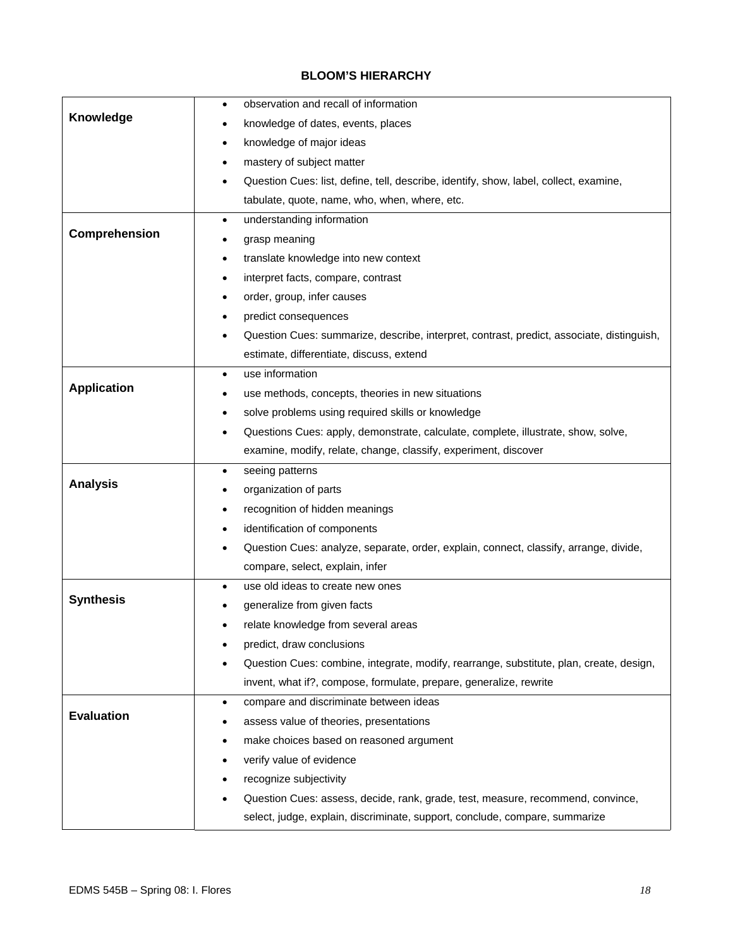## **BLOOM'S HIERARCHY**

|                    | observation and recall of information<br>$\bullet$                                        |
|--------------------|-------------------------------------------------------------------------------------------|
| Knowledge          | knowledge of dates, events, places                                                        |
|                    | knowledge of major ideas<br>٠                                                             |
|                    | mastery of subject matter                                                                 |
|                    | Question Cues: list, define, tell, describe, identify, show, label, collect, examine,     |
|                    | tabulate, quote, name, who, when, where, etc.                                             |
|                    | understanding information<br>$\bullet$                                                    |
| Comprehension      | grasp meaning                                                                             |
|                    | translate knowledge into new context<br>٠                                                 |
|                    | interpret facts, compare, contrast                                                        |
|                    | order, group, infer causes                                                                |
|                    | predict consequences                                                                      |
|                    | Question Cues: summarize, describe, interpret, contrast, predict, associate, distinguish, |
|                    | estimate, differentiate, discuss, extend                                                  |
|                    | use information<br>$\bullet$                                                              |
| <b>Application</b> | use methods, concepts, theories in new situations                                         |
|                    | solve problems using required skills or knowledge                                         |
|                    | Questions Cues: apply, demonstrate, calculate, complete, illustrate, show, solve,         |
|                    | examine, modify, relate, change, classify, experiment, discover                           |
|                    | seeing patterns<br>٠                                                                      |
| <b>Analysis</b>    | organization of parts                                                                     |
|                    |                                                                                           |
|                    | recognition of hidden meanings                                                            |
|                    | identification of components                                                              |
|                    | Question Cues: analyze, separate, order, explain, connect, classify, arrange, divide,     |
|                    | compare, select, explain, infer                                                           |
|                    | use old ideas to create new ones<br>$\bullet$                                             |
| <b>Synthesis</b>   | generalize from given facts                                                               |
|                    | relate knowledge from several areas                                                       |
|                    | predict, draw conclusions                                                                 |
|                    | Question Cues: combine, integrate, modify, rearrange, substitute, plan, create, design,   |
|                    | invent, what if?, compose, formulate, prepare, generalize, rewrite                        |
|                    | compare and discriminate between ideas<br>$\bullet$                                       |
| <b>Evaluation</b>  | assess value of theories, presentations                                                   |
|                    | make choices based on reasoned argument                                                   |
|                    | verify value of evidence                                                                  |
|                    | recognize subjectivity                                                                    |
|                    | Question Cues: assess, decide, rank, grade, test, measure, recommend, convince,           |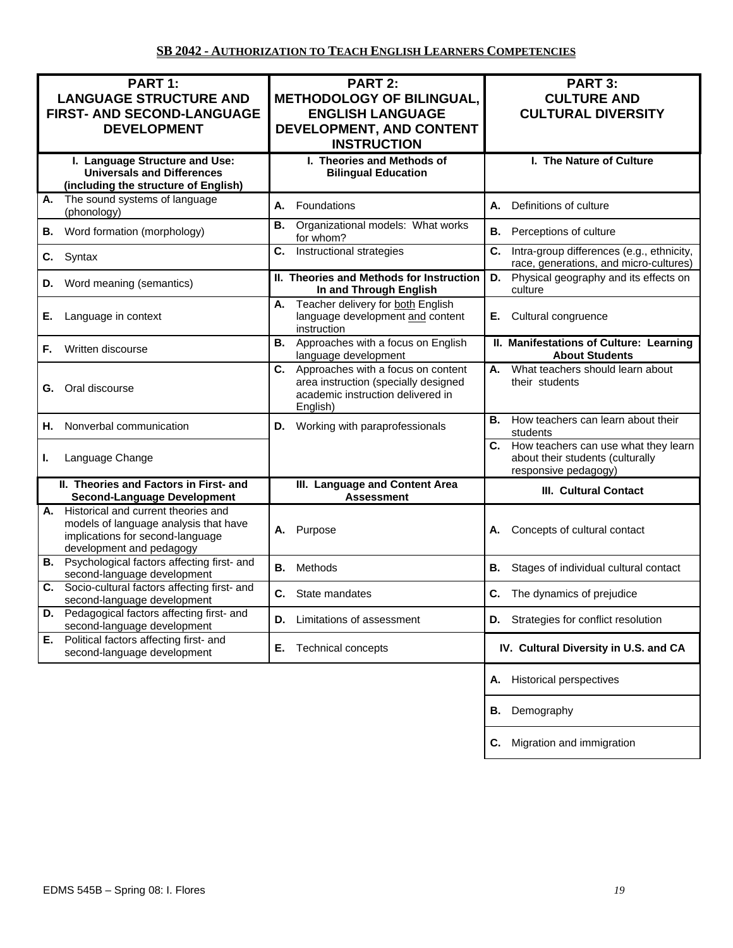| PART 1:<br><b>LANGUAGE STRUCTURE AND</b><br>FIRST- AND SECOND-LANGUAGE<br><b>DEVELOPMENT</b>                                                    | <b>PART 2:</b><br><b>METHODOLOGY OF BILINGUAL,</b><br><b>ENGLISH LANGUAGE</b><br>DEVELOPMENT, AND CONTENT<br><b>INSTRUCTION</b> | PART 3:<br><b>CULTURE AND</b><br><b>CULTURAL DIVERSITY</b>                                          |
|-------------------------------------------------------------------------------------------------------------------------------------------------|---------------------------------------------------------------------------------------------------------------------------------|-----------------------------------------------------------------------------------------------------|
| I. Language Structure and Use:<br><b>Universals and Differences</b><br>(including the structure of English)                                     | I. Theories and Methods of<br><b>Bilingual Education</b>                                                                        | I. The Nature of Culture                                                                            |
| The sound systems of language<br>А.<br>(phonology)                                                                                              | Foundations<br>А.                                                                                                               | Definitions of culture<br>А.                                                                        |
| Word formation (morphology)<br>В.                                                                                                               | Organizational models: What works<br>В.<br>for whom?                                                                            | <b>B.</b> Perceptions of culture                                                                    |
| Syntax<br>C.                                                                                                                                    | Instructional strategies<br>C.                                                                                                  | C.<br>Intra-group differences (e.g., ethnicity,<br>race, generations, and micro-cultures)           |
| Word meaning (semantics)<br>D.                                                                                                                  | II. Theories and Methods for Instruction<br>In and Through English                                                              | Physical geography and its effects on<br>D.<br>culture                                              |
| Language in context<br>Е.                                                                                                                       | Teacher delivery for both English<br>А.<br>language development and content<br>instruction                                      | Cultural congruence<br>Е.                                                                           |
| Written discourse<br>F.                                                                                                                         | <b>B.</b> Approaches with a focus on English<br>language development                                                            | II. Manifestations of Culture: Learning<br><b>About Students</b>                                    |
| Oral discourse<br>G.                                                                                                                            | C. Approaches with a focus on content<br>area instruction (specially designed<br>academic instruction delivered in<br>English)  | What teachers should learn about<br>А.<br>their students                                            |
| Nonverbal communication<br>Н.                                                                                                                   | D. Working with paraprofessionals                                                                                               | How teachers can learn about their<br>В.<br>students                                                |
| Language Change<br>L.                                                                                                                           |                                                                                                                                 | C. How teachers can use what they learn<br>about their students (culturally<br>responsive pedagogy) |
| II. Theories and Factors in First- and<br><b>Second-Language Development</b>                                                                    | III. Language and Content Area<br><b>Assessment</b>                                                                             | <b>III. Cultural Contact</b>                                                                        |
| A. Historical and current theories and<br>models of language analysis that have<br>implications for second-language<br>development and pedagogy | Purpose<br>А.                                                                                                                   | Concepts of cultural contact<br>А.                                                                  |
| <b>B.</b> Psychological factors affecting first- and<br>second-language development                                                             | Methods<br>В.                                                                                                                   | В.<br>Stages of individual cultural contact                                                         |
| Socio-cultural factors affecting first- and<br>С.<br>second-language development                                                                | С.<br>State mandates                                                                                                            | The dynamics of prejudice<br>С.                                                                     |
| Pedagogical factors affecting first- and<br>D.<br>second-language development                                                                   | Limitations of assessment<br>D.                                                                                                 | Strategies for conflict resolution<br>D.                                                            |
| E. Political factors affecting first- and<br>second-language development                                                                        | <b>Technical concepts</b><br>Е.                                                                                                 | IV. Cultural Diversity in U.S. and CA                                                               |
|                                                                                                                                                 |                                                                                                                                 | <b>Historical perspectives</b><br>А.                                                                |
|                                                                                                                                                 |                                                                                                                                 | Demography<br>В.                                                                                    |
|                                                                                                                                                 |                                                                                                                                 | Migration and immigration<br>С.                                                                     |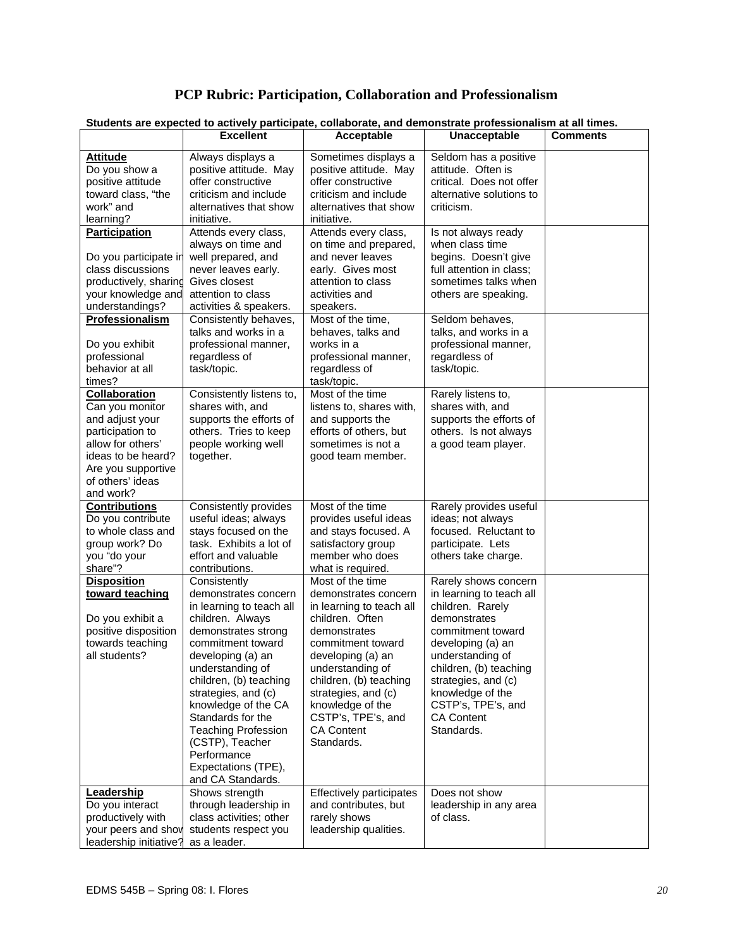# **PCP Rubric: Participation, Collaboration and Professionalism**

| <b>Attitude</b><br>Always displays a<br>Sometimes displays a<br>Seldom has a positive<br>attitude. Often is<br>Do you show a<br>positive attitude. May<br>positive attitude. May<br>positive attitude<br>offer constructive<br>offer constructive<br>critical. Does not offer<br>toward class, "the<br>criticism and include<br>criticism and include<br>alternative solutions to<br>work" and<br>alternatives that show<br>alternatives that show<br>criticism.<br>learning?<br>initiative.<br>initiative.<br>Attends every class,<br>Attends every class,<br><b>Participation</b><br>Is not always ready<br>always on time and<br>on time and prepared,<br>when class time<br>well prepared, and<br>and never leaves<br>begins. Doesn't give<br>Do you participate in<br>class discussions<br>never leaves early.<br>early. Gives most<br>full attention in class;<br>Gives closest<br>sometimes talks when<br>productively, sharing<br>attention to class<br>your knowledge and<br>attention to class<br>activities and<br>others are speaking.<br>understandings?<br>activities & speakers.<br>speakers.<br>Professionalism<br>Most of the time,<br>Seldom behaves,<br>Consistently behaves,<br>talks and works in a<br>behaves, talks and<br>talks, and works in a<br>professional manner,<br>works in a<br>professional manner,<br>Do you exhibit<br>professional<br>regardless of<br>regardless of<br>professional manner,<br>behavior at all<br>task/topic.<br>regardless of<br>task/topic.<br>times?<br>task/topic.<br>Consistently listens to,<br>Most of the time<br><b>Collaboration</b><br>Rarely listens to,<br>Can you monitor<br>shares with, and<br>listens to, shares with,<br>shares with, and<br>supports the efforts of<br>supports the efforts of<br>and adjust your<br>and supports the<br>others. Tries to keep<br>participation to<br>efforts of others, but<br>others. Is not always<br>allow for others'<br>people working well<br>sometimes is not a<br>a good team player.<br>ideas to be heard?<br>together.<br>good team member.<br>Are you supportive<br>of others' ideas<br>and work?<br>Most of the time<br><b>Contributions</b><br>Consistently provides<br>Rarely provides useful<br>Do you contribute<br>useful ideas; always<br>provides useful ideas<br>ideas; not always<br>to whole class and<br>focused. Reluctant to<br>stays focused on the<br>and stays focused. A<br>group work? Do<br>task. Exhibits a lot of<br>satisfactory group<br>participate. Lets<br>you "do your<br>effort and valuable<br>member who does<br>others take charge.<br>share"?<br>contributions.<br>what is required.<br>Consistently<br>Most of the time<br><b>Disposition</b><br>Rarely shows concern<br>toward teaching<br>demonstrates concern<br>demonstrates concern<br>in learning to teach all<br>in learning to teach all<br>in learning to teach all<br>children. Rarely<br>Do you exhibit a<br>children. Always<br>children. Often<br>demonstrates<br>positive disposition<br>demonstrates strong<br>demonstrates<br>commitment toward<br>towards teaching<br>commitment toward<br>commitment toward<br>developing (a) an<br>all students?<br>developing (a) an<br>developing (a) an<br>understanding of<br>children, (b) teaching<br>understanding of<br>understanding of<br>children, (b) teaching<br>children, (b) teaching<br>strategies, and (c)<br>strategies, and (c)<br>strategies, and (c)<br>knowledge of the<br>knowledge of the CA<br>knowledge of the<br>CSTP's, TPE's, and<br>Standards for the<br>CSTP's, TPE's, and<br><b>CA Content</b><br><b>Teaching Profession</b><br><b>CA Content</b><br>Standards.<br>(CSTP), Teacher<br>Standards.<br>Performance<br>Expectations (TPE),<br>and CA Standards.<br>Effectively participates<br>Leadership<br>Shows strength<br>Does not show<br>Do you interact<br>through leadership in<br>and contributes, but<br>leadership in any area<br>productively with<br>class activities; other<br>rarely shows<br>of class. |                  | Students are expected to actively participate, collaborate, and demonstrate professionalism at all times. |                     |                 |
|---------------------------------------------------------------------------------------------------------------------------------------------------------------------------------------------------------------------------------------------------------------------------------------------------------------------------------------------------------------------------------------------------------------------------------------------------------------------------------------------------------------------------------------------------------------------------------------------------------------------------------------------------------------------------------------------------------------------------------------------------------------------------------------------------------------------------------------------------------------------------------------------------------------------------------------------------------------------------------------------------------------------------------------------------------------------------------------------------------------------------------------------------------------------------------------------------------------------------------------------------------------------------------------------------------------------------------------------------------------------------------------------------------------------------------------------------------------------------------------------------------------------------------------------------------------------------------------------------------------------------------------------------------------------------------------------------------------------------------------------------------------------------------------------------------------------------------------------------------------------------------------------------------------------------------------------------------------------------------------------------------------------------------------------------------------------------------------------------------------------------------------------------------------------------------------------------------------------------------------------------------------------------------------------------------------------------------------------------------------------------------------------------------------------------------------------------------------------------------------------------------------------------------------------------------------------------------------------------------------------------------------------------------------------------------------------------------------------------------------------------------------------------------------------------------------------------------------------------------------------------------------------------------------------------------------------------------------------------------------------------------------------------------------------------------------------------------------------------------------------------------------------------------------------------------------------------------------------------------------------------------------------------------------------------------------------------------------------------------------------------------------------------------------------------------------------------------------------------------------------------------------------------------------------------------------------------------------------------------------------------------------------------------------------------------------------------------------------------------------------------------------------------------------------------------------------------------------------------------------------------------------------------------------------------------------------------------------------------------------------------------------|------------------|-----------------------------------------------------------------------------------------------------------|---------------------|-----------------|
|                                                                                                                                                                                                                                                                                                                                                                                                                                                                                                                                                                                                                                                                                                                                                                                                                                                                                                                                                                                                                                                                                                                                                                                                                                                                                                                                                                                                                                                                                                                                                                                                                                                                                                                                                                                                                                                                                                                                                                                                                                                                                                                                                                                                                                                                                                                                                                                                                                                                                                                                                                                                                                                                                                                                                                                                                                                                                                                                                                                                                                                                                                                                                                                                                                                                                                                                                                                                                                                                                                                                                                                                                                                                                                                                                                                                                                                                                                                                                                                                               | <b>Excellent</b> | Acceptable                                                                                                | <b>Unacceptable</b> | <b>Comments</b> |
|                                                                                                                                                                                                                                                                                                                                                                                                                                                                                                                                                                                                                                                                                                                                                                                                                                                                                                                                                                                                                                                                                                                                                                                                                                                                                                                                                                                                                                                                                                                                                                                                                                                                                                                                                                                                                                                                                                                                                                                                                                                                                                                                                                                                                                                                                                                                                                                                                                                                                                                                                                                                                                                                                                                                                                                                                                                                                                                                                                                                                                                                                                                                                                                                                                                                                                                                                                                                                                                                                                                                                                                                                                                                                                                                                                                                                                                                                                                                                                                                               |                  |                                                                                                           |                     |                 |
|                                                                                                                                                                                                                                                                                                                                                                                                                                                                                                                                                                                                                                                                                                                                                                                                                                                                                                                                                                                                                                                                                                                                                                                                                                                                                                                                                                                                                                                                                                                                                                                                                                                                                                                                                                                                                                                                                                                                                                                                                                                                                                                                                                                                                                                                                                                                                                                                                                                                                                                                                                                                                                                                                                                                                                                                                                                                                                                                                                                                                                                                                                                                                                                                                                                                                                                                                                                                                                                                                                                                                                                                                                                                                                                                                                                                                                                                                                                                                                                                               |                  |                                                                                                           |                     |                 |
|                                                                                                                                                                                                                                                                                                                                                                                                                                                                                                                                                                                                                                                                                                                                                                                                                                                                                                                                                                                                                                                                                                                                                                                                                                                                                                                                                                                                                                                                                                                                                                                                                                                                                                                                                                                                                                                                                                                                                                                                                                                                                                                                                                                                                                                                                                                                                                                                                                                                                                                                                                                                                                                                                                                                                                                                                                                                                                                                                                                                                                                                                                                                                                                                                                                                                                                                                                                                                                                                                                                                                                                                                                                                                                                                                                                                                                                                                                                                                                                                               |                  |                                                                                                           |                     |                 |
|                                                                                                                                                                                                                                                                                                                                                                                                                                                                                                                                                                                                                                                                                                                                                                                                                                                                                                                                                                                                                                                                                                                                                                                                                                                                                                                                                                                                                                                                                                                                                                                                                                                                                                                                                                                                                                                                                                                                                                                                                                                                                                                                                                                                                                                                                                                                                                                                                                                                                                                                                                                                                                                                                                                                                                                                                                                                                                                                                                                                                                                                                                                                                                                                                                                                                                                                                                                                                                                                                                                                                                                                                                                                                                                                                                                                                                                                                                                                                                                                               |                  |                                                                                                           |                     |                 |
|                                                                                                                                                                                                                                                                                                                                                                                                                                                                                                                                                                                                                                                                                                                                                                                                                                                                                                                                                                                                                                                                                                                                                                                                                                                                                                                                                                                                                                                                                                                                                                                                                                                                                                                                                                                                                                                                                                                                                                                                                                                                                                                                                                                                                                                                                                                                                                                                                                                                                                                                                                                                                                                                                                                                                                                                                                                                                                                                                                                                                                                                                                                                                                                                                                                                                                                                                                                                                                                                                                                                                                                                                                                                                                                                                                                                                                                                                                                                                                                                               |                  |                                                                                                           |                     |                 |
|                                                                                                                                                                                                                                                                                                                                                                                                                                                                                                                                                                                                                                                                                                                                                                                                                                                                                                                                                                                                                                                                                                                                                                                                                                                                                                                                                                                                                                                                                                                                                                                                                                                                                                                                                                                                                                                                                                                                                                                                                                                                                                                                                                                                                                                                                                                                                                                                                                                                                                                                                                                                                                                                                                                                                                                                                                                                                                                                                                                                                                                                                                                                                                                                                                                                                                                                                                                                                                                                                                                                                                                                                                                                                                                                                                                                                                                                                                                                                                                                               |                  |                                                                                                           |                     |                 |
|                                                                                                                                                                                                                                                                                                                                                                                                                                                                                                                                                                                                                                                                                                                                                                                                                                                                                                                                                                                                                                                                                                                                                                                                                                                                                                                                                                                                                                                                                                                                                                                                                                                                                                                                                                                                                                                                                                                                                                                                                                                                                                                                                                                                                                                                                                                                                                                                                                                                                                                                                                                                                                                                                                                                                                                                                                                                                                                                                                                                                                                                                                                                                                                                                                                                                                                                                                                                                                                                                                                                                                                                                                                                                                                                                                                                                                                                                                                                                                                                               |                  |                                                                                                           |                     |                 |
|                                                                                                                                                                                                                                                                                                                                                                                                                                                                                                                                                                                                                                                                                                                                                                                                                                                                                                                                                                                                                                                                                                                                                                                                                                                                                                                                                                                                                                                                                                                                                                                                                                                                                                                                                                                                                                                                                                                                                                                                                                                                                                                                                                                                                                                                                                                                                                                                                                                                                                                                                                                                                                                                                                                                                                                                                                                                                                                                                                                                                                                                                                                                                                                                                                                                                                                                                                                                                                                                                                                                                                                                                                                                                                                                                                                                                                                                                                                                                                                                               |                  |                                                                                                           |                     |                 |
|                                                                                                                                                                                                                                                                                                                                                                                                                                                                                                                                                                                                                                                                                                                                                                                                                                                                                                                                                                                                                                                                                                                                                                                                                                                                                                                                                                                                                                                                                                                                                                                                                                                                                                                                                                                                                                                                                                                                                                                                                                                                                                                                                                                                                                                                                                                                                                                                                                                                                                                                                                                                                                                                                                                                                                                                                                                                                                                                                                                                                                                                                                                                                                                                                                                                                                                                                                                                                                                                                                                                                                                                                                                                                                                                                                                                                                                                                                                                                                                                               |                  |                                                                                                           |                     |                 |
|                                                                                                                                                                                                                                                                                                                                                                                                                                                                                                                                                                                                                                                                                                                                                                                                                                                                                                                                                                                                                                                                                                                                                                                                                                                                                                                                                                                                                                                                                                                                                                                                                                                                                                                                                                                                                                                                                                                                                                                                                                                                                                                                                                                                                                                                                                                                                                                                                                                                                                                                                                                                                                                                                                                                                                                                                                                                                                                                                                                                                                                                                                                                                                                                                                                                                                                                                                                                                                                                                                                                                                                                                                                                                                                                                                                                                                                                                                                                                                                                               |                  |                                                                                                           |                     |                 |
|                                                                                                                                                                                                                                                                                                                                                                                                                                                                                                                                                                                                                                                                                                                                                                                                                                                                                                                                                                                                                                                                                                                                                                                                                                                                                                                                                                                                                                                                                                                                                                                                                                                                                                                                                                                                                                                                                                                                                                                                                                                                                                                                                                                                                                                                                                                                                                                                                                                                                                                                                                                                                                                                                                                                                                                                                                                                                                                                                                                                                                                                                                                                                                                                                                                                                                                                                                                                                                                                                                                                                                                                                                                                                                                                                                                                                                                                                                                                                                                                               |                  |                                                                                                           |                     |                 |
|                                                                                                                                                                                                                                                                                                                                                                                                                                                                                                                                                                                                                                                                                                                                                                                                                                                                                                                                                                                                                                                                                                                                                                                                                                                                                                                                                                                                                                                                                                                                                                                                                                                                                                                                                                                                                                                                                                                                                                                                                                                                                                                                                                                                                                                                                                                                                                                                                                                                                                                                                                                                                                                                                                                                                                                                                                                                                                                                                                                                                                                                                                                                                                                                                                                                                                                                                                                                                                                                                                                                                                                                                                                                                                                                                                                                                                                                                                                                                                                                               |                  |                                                                                                           |                     |                 |
|                                                                                                                                                                                                                                                                                                                                                                                                                                                                                                                                                                                                                                                                                                                                                                                                                                                                                                                                                                                                                                                                                                                                                                                                                                                                                                                                                                                                                                                                                                                                                                                                                                                                                                                                                                                                                                                                                                                                                                                                                                                                                                                                                                                                                                                                                                                                                                                                                                                                                                                                                                                                                                                                                                                                                                                                                                                                                                                                                                                                                                                                                                                                                                                                                                                                                                                                                                                                                                                                                                                                                                                                                                                                                                                                                                                                                                                                                                                                                                                                               |                  |                                                                                                           |                     |                 |
|                                                                                                                                                                                                                                                                                                                                                                                                                                                                                                                                                                                                                                                                                                                                                                                                                                                                                                                                                                                                                                                                                                                                                                                                                                                                                                                                                                                                                                                                                                                                                                                                                                                                                                                                                                                                                                                                                                                                                                                                                                                                                                                                                                                                                                                                                                                                                                                                                                                                                                                                                                                                                                                                                                                                                                                                                                                                                                                                                                                                                                                                                                                                                                                                                                                                                                                                                                                                                                                                                                                                                                                                                                                                                                                                                                                                                                                                                                                                                                                                               |                  |                                                                                                           |                     |                 |
|                                                                                                                                                                                                                                                                                                                                                                                                                                                                                                                                                                                                                                                                                                                                                                                                                                                                                                                                                                                                                                                                                                                                                                                                                                                                                                                                                                                                                                                                                                                                                                                                                                                                                                                                                                                                                                                                                                                                                                                                                                                                                                                                                                                                                                                                                                                                                                                                                                                                                                                                                                                                                                                                                                                                                                                                                                                                                                                                                                                                                                                                                                                                                                                                                                                                                                                                                                                                                                                                                                                                                                                                                                                                                                                                                                                                                                                                                                                                                                                                               |                  |                                                                                                           |                     |                 |
|                                                                                                                                                                                                                                                                                                                                                                                                                                                                                                                                                                                                                                                                                                                                                                                                                                                                                                                                                                                                                                                                                                                                                                                                                                                                                                                                                                                                                                                                                                                                                                                                                                                                                                                                                                                                                                                                                                                                                                                                                                                                                                                                                                                                                                                                                                                                                                                                                                                                                                                                                                                                                                                                                                                                                                                                                                                                                                                                                                                                                                                                                                                                                                                                                                                                                                                                                                                                                                                                                                                                                                                                                                                                                                                                                                                                                                                                                                                                                                                                               |                  |                                                                                                           |                     |                 |
|                                                                                                                                                                                                                                                                                                                                                                                                                                                                                                                                                                                                                                                                                                                                                                                                                                                                                                                                                                                                                                                                                                                                                                                                                                                                                                                                                                                                                                                                                                                                                                                                                                                                                                                                                                                                                                                                                                                                                                                                                                                                                                                                                                                                                                                                                                                                                                                                                                                                                                                                                                                                                                                                                                                                                                                                                                                                                                                                                                                                                                                                                                                                                                                                                                                                                                                                                                                                                                                                                                                                                                                                                                                                                                                                                                                                                                                                                                                                                                                                               |                  |                                                                                                           |                     |                 |
|                                                                                                                                                                                                                                                                                                                                                                                                                                                                                                                                                                                                                                                                                                                                                                                                                                                                                                                                                                                                                                                                                                                                                                                                                                                                                                                                                                                                                                                                                                                                                                                                                                                                                                                                                                                                                                                                                                                                                                                                                                                                                                                                                                                                                                                                                                                                                                                                                                                                                                                                                                                                                                                                                                                                                                                                                                                                                                                                                                                                                                                                                                                                                                                                                                                                                                                                                                                                                                                                                                                                                                                                                                                                                                                                                                                                                                                                                                                                                                                                               |                  |                                                                                                           |                     |                 |
|                                                                                                                                                                                                                                                                                                                                                                                                                                                                                                                                                                                                                                                                                                                                                                                                                                                                                                                                                                                                                                                                                                                                                                                                                                                                                                                                                                                                                                                                                                                                                                                                                                                                                                                                                                                                                                                                                                                                                                                                                                                                                                                                                                                                                                                                                                                                                                                                                                                                                                                                                                                                                                                                                                                                                                                                                                                                                                                                                                                                                                                                                                                                                                                                                                                                                                                                                                                                                                                                                                                                                                                                                                                                                                                                                                                                                                                                                                                                                                                                               |                  |                                                                                                           |                     |                 |
|                                                                                                                                                                                                                                                                                                                                                                                                                                                                                                                                                                                                                                                                                                                                                                                                                                                                                                                                                                                                                                                                                                                                                                                                                                                                                                                                                                                                                                                                                                                                                                                                                                                                                                                                                                                                                                                                                                                                                                                                                                                                                                                                                                                                                                                                                                                                                                                                                                                                                                                                                                                                                                                                                                                                                                                                                                                                                                                                                                                                                                                                                                                                                                                                                                                                                                                                                                                                                                                                                                                                                                                                                                                                                                                                                                                                                                                                                                                                                                                                               |                  |                                                                                                           |                     |                 |
|                                                                                                                                                                                                                                                                                                                                                                                                                                                                                                                                                                                                                                                                                                                                                                                                                                                                                                                                                                                                                                                                                                                                                                                                                                                                                                                                                                                                                                                                                                                                                                                                                                                                                                                                                                                                                                                                                                                                                                                                                                                                                                                                                                                                                                                                                                                                                                                                                                                                                                                                                                                                                                                                                                                                                                                                                                                                                                                                                                                                                                                                                                                                                                                                                                                                                                                                                                                                                                                                                                                                                                                                                                                                                                                                                                                                                                                                                                                                                                                                               |                  |                                                                                                           |                     |                 |
|                                                                                                                                                                                                                                                                                                                                                                                                                                                                                                                                                                                                                                                                                                                                                                                                                                                                                                                                                                                                                                                                                                                                                                                                                                                                                                                                                                                                                                                                                                                                                                                                                                                                                                                                                                                                                                                                                                                                                                                                                                                                                                                                                                                                                                                                                                                                                                                                                                                                                                                                                                                                                                                                                                                                                                                                                                                                                                                                                                                                                                                                                                                                                                                                                                                                                                                                                                                                                                                                                                                                                                                                                                                                                                                                                                                                                                                                                                                                                                                                               |                  |                                                                                                           |                     |                 |
|                                                                                                                                                                                                                                                                                                                                                                                                                                                                                                                                                                                                                                                                                                                                                                                                                                                                                                                                                                                                                                                                                                                                                                                                                                                                                                                                                                                                                                                                                                                                                                                                                                                                                                                                                                                                                                                                                                                                                                                                                                                                                                                                                                                                                                                                                                                                                                                                                                                                                                                                                                                                                                                                                                                                                                                                                                                                                                                                                                                                                                                                                                                                                                                                                                                                                                                                                                                                                                                                                                                                                                                                                                                                                                                                                                                                                                                                                                                                                                                                               |                  |                                                                                                           |                     |                 |
|                                                                                                                                                                                                                                                                                                                                                                                                                                                                                                                                                                                                                                                                                                                                                                                                                                                                                                                                                                                                                                                                                                                                                                                                                                                                                                                                                                                                                                                                                                                                                                                                                                                                                                                                                                                                                                                                                                                                                                                                                                                                                                                                                                                                                                                                                                                                                                                                                                                                                                                                                                                                                                                                                                                                                                                                                                                                                                                                                                                                                                                                                                                                                                                                                                                                                                                                                                                                                                                                                                                                                                                                                                                                                                                                                                                                                                                                                                                                                                                                               |                  |                                                                                                           |                     |                 |
|                                                                                                                                                                                                                                                                                                                                                                                                                                                                                                                                                                                                                                                                                                                                                                                                                                                                                                                                                                                                                                                                                                                                                                                                                                                                                                                                                                                                                                                                                                                                                                                                                                                                                                                                                                                                                                                                                                                                                                                                                                                                                                                                                                                                                                                                                                                                                                                                                                                                                                                                                                                                                                                                                                                                                                                                                                                                                                                                                                                                                                                                                                                                                                                                                                                                                                                                                                                                                                                                                                                                                                                                                                                                                                                                                                                                                                                                                                                                                                                                               |                  |                                                                                                           |                     |                 |
|                                                                                                                                                                                                                                                                                                                                                                                                                                                                                                                                                                                                                                                                                                                                                                                                                                                                                                                                                                                                                                                                                                                                                                                                                                                                                                                                                                                                                                                                                                                                                                                                                                                                                                                                                                                                                                                                                                                                                                                                                                                                                                                                                                                                                                                                                                                                                                                                                                                                                                                                                                                                                                                                                                                                                                                                                                                                                                                                                                                                                                                                                                                                                                                                                                                                                                                                                                                                                                                                                                                                                                                                                                                                                                                                                                                                                                                                                                                                                                                                               |                  |                                                                                                           |                     |                 |
|                                                                                                                                                                                                                                                                                                                                                                                                                                                                                                                                                                                                                                                                                                                                                                                                                                                                                                                                                                                                                                                                                                                                                                                                                                                                                                                                                                                                                                                                                                                                                                                                                                                                                                                                                                                                                                                                                                                                                                                                                                                                                                                                                                                                                                                                                                                                                                                                                                                                                                                                                                                                                                                                                                                                                                                                                                                                                                                                                                                                                                                                                                                                                                                                                                                                                                                                                                                                                                                                                                                                                                                                                                                                                                                                                                                                                                                                                                                                                                                                               |                  |                                                                                                           |                     |                 |
|                                                                                                                                                                                                                                                                                                                                                                                                                                                                                                                                                                                                                                                                                                                                                                                                                                                                                                                                                                                                                                                                                                                                                                                                                                                                                                                                                                                                                                                                                                                                                                                                                                                                                                                                                                                                                                                                                                                                                                                                                                                                                                                                                                                                                                                                                                                                                                                                                                                                                                                                                                                                                                                                                                                                                                                                                                                                                                                                                                                                                                                                                                                                                                                                                                                                                                                                                                                                                                                                                                                                                                                                                                                                                                                                                                                                                                                                                                                                                                                                               |                  |                                                                                                           |                     |                 |
|                                                                                                                                                                                                                                                                                                                                                                                                                                                                                                                                                                                                                                                                                                                                                                                                                                                                                                                                                                                                                                                                                                                                                                                                                                                                                                                                                                                                                                                                                                                                                                                                                                                                                                                                                                                                                                                                                                                                                                                                                                                                                                                                                                                                                                                                                                                                                                                                                                                                                                                                                                                                                                                                                                                                                                                                                                                                                                                                                                                                                                                                                                                                                                                                                                                                                                                                                                                                                                                                                                                                                                                                                                                                                                                                                                                                                                                                                                                                                                                                               |                  |                                                                                                           |                     |                 |
|                                                                                                                                                                                                                                                                                                                                                                                                                                                                                                                                                                                                                                                                                                                                                                                                                                                                                                                                                                                                                                                                                                                                                                                                                                                                                                                                                                                                                                                                                                                                                                                                                                                                                                                                                                                                                                                                                                                                                                                                                                                                                                                                                                                                                                                                                                                                                                                                                                                                                                                                                                                                                                                                                                                                                                                                                                                                                                                                                                                                                                                                                                                                                                                                                                                                                                                                                                                                                                                                                                                                                                                                                                                                                                                                                                                                                                                                                                                                                                                                               |                  |                                                                                                           |                     |                 |
|                                                                                                                                                                                                                                                                                                                                                                                                                                                                                                                                                                                                                                                                                                                                                                                                                                                                                                                                                                                                                                                                                                                                                                                                                                                                                                                                                                                                                                                                                                                                                                                                                                                                                                                                                                                                                                                                                                                                                                                                                                                                                                                                                                                                                                                                                                                                                                                                                                                                                                                                                                                                                                                                                                                                                                                                                                                                                                                                                                                                                                                                                                                                                                                                                                                                                                                                                                                                                                                                                                                                                                                                                                                                                                                                                                                                                                                                                                                                                                                                               |                  |                                                                                                           |                     |                 |
|                                                                                                                                                                                                                                                                                                                                                                                                                                                                                                                                                                                                                                                                                                                                                                                                                                                                                                                                                                                                                                                                                                                                                                                                                                                                                                                                                                                                                                                                                                                                                                                                                                                                                                                                                                                                                                                                                                                                                                                                                                                                                                                                                                                                                                                                                                                                                                                                                                                                                                                                                                                                                                                                                                                                                                                                                                                                                                                                                                                                                                                                                                                                                                                                                                                                                                                                                                                                                                                                                                                                                                                                                                                                                                                                                                                                                                                                                                                                                                                                               |                  |                                                                                                           |                     |                 |
|                                                                                                                                                                                                                                                                                                                                                                                                                                                                                                                                                                                                                                                                                                                                                                                                                                                                                                                                                                                                                                                                                                                                                                                                                                                                                                                                                                                                                                                                                                                                                                                                                                                                                                                                                                                                                                                                                                                                                                                                                                                                                                                                                                                                                                                                                                                                                                                                                                                                                                                                                                                                                                                                                                                                                                                                                                                                                                                                                                                                                                                                                                                                                                                                                                                                                                                                                                                                                                                                                                                                                                                                                                                                                                                                                                                                                                                                                                                                                                                                               |                  |                                                                                                           |                     |                 |
|                                                                                                                                                                                                                                                                                                                                                                                                                                                                                                                                                                                                                                                                                                                                                                                                                                                                                                                                                                                                                                                                                                                                                                                                                                                                                                                                                                                                                                                                                                                                                                                                                                                                                                                                                                                                                                                                                                                                                                                                                                                                                                                                                                                                                                                                                                                                                                                                                                                                                                                                                                                                                                                                                                                                                                                                                                                                                                                                                                                                                                                                                                                                                                                                                                                                                                                                                                                                                                                                                                                                                                                                                                                                                                                                                                                                                                                                                                                                                                                                               |                  |                                                                                                           |                     |                 |
|                                                                                                                                                                                                                                                                                                                                                                                                                                                                                                                                                                                                                                                                                                                                                                                                                                                                                                                                                                                                                                                                                                                                                                                                                                                                                                                                                                                                                                                                                                                                                                                                                                                                                                                                                                                                                                                                                                                                                                                                                                                                                                                                                                                                                                                                                                                                                                                                                                                                                                                                                                                                                                                                                                                                                                                                                                                                                                                                                                                                                                                                                                                                                                                                                                                                                                                                                                                                                                                                                                                                                                                                                                                                                                                                                                                                                                                                                                                                                                                                               |                  |                                                                                                           |                     |                 |
|                                                                                                                                                                                                                                                                                                                                                                                                                                                                                                                                                                                                                                                                                                                                                                                                                                                                                                                                                                                                                                                                                                                                                                                                                                                                                                                                                                                                                                                                                                                                                                                                                                                                                                                                                                                                                                                                                                                                                                                                                                                                                                                                                                                                                                                                                                                                                                                                                                                                                                                                                                                                                                                                                                                                                                                                                                                                                                                                                                                                                                                                                                                                                                                                                                                                                                                                                                                                                                                                                                                                                                                                                                                                                                                                                                                                                                                                                                                                                                                                               |                  |                                                                                                           |                     |                 |
|                                                                                                                                                                                                                                                                                                                                                                                                                                                                                                                                                                                                                                                                                                                                                                                                                                                                                                                                                                                                                                                                                                                                                                                                                                                                                                                                                                                                                                                                                                                                                                                                                                                                                                                                                                                                                                                                                                                                                                                                                                                                                                                                                                                                                                                                                                                                                                                                                                                                                                                                                                                                                                                                                                                                                                                                                                                                                                                                                                                                                                                                                                                                                                                                                                                                                                                                                                                                                                                                                                                                                                                                                                                                                                                                                                                                                                                                                                                                                                                                               |                  |                                                                                                           |                     |                 |
|                                                                                                                                                                                                                                                                                                                                                                                                                                                                                                                                                                                                                                                                                                                                                                                                                                                                                                                                                                                                                                                                                                                                                                                                                                                                                                                                                                                                                                                                                                                                                                                                                                                                                                                                                                                                                                                                                                                                                                                                                                                                                                                                                                                                                                                                                                                                                                                                                                                                                                                                                                                                                                                                                                                                                                                                                                                                                                                                                                                                                                                                                                                                                                                                                                                                                                                                                                                                                                                                                                                                                                                                                                                                                                                                                                                                                                                                                                                                                                                                               |                  |                                                                                                           |                     |                 |
|                                                                                                                                                                                                                                                                                                                                                                                                                                                                                                                                                                                                                                                                                                                                                                                                                                                                                                                                                                                                                                                                                                                                                                                                                                                                                                                                                                                                                                                                                                                                                                                                                                                                                                                                                                                                                                                                                                                                                                                                                                                                                                                                                                                                                                                                                                                                                                                                                                                                                                                                                                                                                                                                                                                                                                                                                                                                                                                                                                                                                                                                                                                                                                                                                                                                                                                                                                                                                                                                                                                                                                                                                                                                                                                                                                                                                                                                                                                                                                                                               |                  |                                                                                                           |                     |                 |
|                                                                                                                                                                                                                                                                                                                                                                                                                                                                                                                                                                                                                                                                                                                                                                                                                                                                                                                                                                                                                                                                                                                                                                                                                                                                                                                                                                                                                                                                                                                                                                                                                                                                                                                                                                                                                                                                                                                                                                                                                                                                                                                                                                                                                                                                                                                                                                                                                                                                                                                                                                                                                                                                                                                                                                                                                                                                                                                                                                                                                                                                                                                                                                                                                                                                                                                                                                                                                                                                                                                                                                                                                                                                                                                                                                                                                                                                                                                                                                                                               |                  |                                                                                                           |                     |                 |
|                                                                                                                                                                                                                                                                                                                                                                                                                                                                                                                                                                                                                                                                                                                                                                                                                                                                                                                                                                                                                                                                                                                                                                                                                                                                                                                                                                                                                                                                                                                                                                                                                                                                                                                                                                                                                                                                                                                                                                                                                                                                                                                                                                                                                                                                                                                                                                                                                                                                                                                                                                                                                                                                                                                                                                                                                                                                                                                                                                                                                                                                                                                                                                                                                                                                                                                                                                                                                                                                                                                                                                                                                                                                                                                                                                                                                                                                                                                                                                                                               |                  |                                                                                                           |                     |                 |
|                                                                                                                                                                                                                                                                                                                                                                                                                                                                                                                                                                                                                                                                                                                                                                                                                                                                                                                                                                                                                                                                                                                                                                                                                                                                                                                                                                                                                                                                                                                                                                                                                                                                                                                                                                                                                                                                                                                                                                                                                                                                                                                                                                                                                                                                                                                                                                                                                                                                                                                                                                                                                                                                                                                                                                                                                                                                                                                                                                                                                                                                                                                                                                                                                                                                                                                                                                                                                                                                                                                                                                                                                                                                                                                                                                                                                                                                                                                                                                                                               |                  |                                                                                                           |                     |                 |
|                                                                                                                                                                                                                                                                                                                                                                                                                                                                                                                                                                                                                                                                                                                                                                                                                                                                                                                                                                                                                                                                                                                                                                                                                                                                                                                                                                                                                                                                                                                                                                                                                                                                                                                                                                                                                                                                                                                                                                                                                                                                                                                                                                                                                                                                                                                                                                                                                                                                                                                                                                                                                                                                                                                                                                                                                                                                                                                                                                                                                                                                                                                                                                                                                                                                                                                                                                                                                                                                                                                                                                                                                                                                                                                                                                                                                                                                                                                                                                                                               |                  |                                                                                                           |                     |                 |
|                                                                                                                                                                                                                                                                                                                                                                                                                                                                                                                                                                                                                                                                                                                                                                                                                                                                                                                                                                                                                                                                                                                                                                                                                                                                                                                                                                                                                                                                                                                                                                                                                                                                                                                                                                                                                                                                                                                                                                                                                                                                                                                                                                                                                                                                                                                                                                                                                                                                                                                                                                                                                                                                                                                                                                                                                                                                                                                                                                                                                                                                                                                                                                                                                                                                                                                                                                                                                                                                                                                                                                                                                                                                                                                                                                                                                                                                                                                                                                                                               |                  |                                                                                                           |                     |                 |
|                                                                                                                                                                                                                                                                                                                                                                                                                                                                                                                                                                                                                                                                                                                                                                                                                                                                                                                                                                                                                                                                                                                                                                                                                                                                                                                                                                                                                                                                                                                                                                                                                                                                                                                                                                                                                                                                                                                                                                                                                                                                                                                                                                                                                                                                                                                                                                                                                                                                                                                                                                                                                                                                                                                                                                                                                                                                                                                                                                                                                                                                                                                                                                                                                                                                                                                                                                                                                                                                                                                                                                                                                                                                                                                                                                                                                                                                                                                                                                                                               |                  |                                                                                                           |                     |                 |
|                                                                                                                                                                                                                                                                                                                                                                                                                                                                                                                                                                                                                                                                                                                                                                                                                                                                                                                                                                                                                                                                                                                                                                                                                                                                                                                                                                                                                                                                                                                                                                                                                                                                                                                                                                                                                                                                                                                                                                                                                                                                                                                                                                                                                                                                                                                                                                                                                                                                                                                                                                                                                                                                                                                                                                                                                                                                                                                                                                                                                                                                                                                                                                                                                                                                                                                                                                                                                                                                                                                                                                                                                                                                                                                                                                                                                                                                                                                                                                                                               |                  |                                                                                                           |                     |                 |
|                                                                                                                                                                                                                                                                                                                                                                                                                                                                                                                                                                                                                                                                                                                                                                                                                                                                                                                                                                                                                                                                                                                                                                                                                                                                                                                                                                                                                                                                                                                                                                                                                                                                                                                                                                                                                                                                                                                                                                                                                                                                                                                                                                                                                                                                                                                                                                                                                                                                                                                                                                                                                                                                                                                                                                                                                                                                                                                                                                                                                                                                                                                                                                                                                                                                                                                                                                                                                                                                                                                                                                                                                                                                                                                                                                                                                                                                                                                                                                                                               |                  |                                                                                                           |                     |                 |
|                                                                                                                                                                                                                                                                                                                                                                                                                                                                                                                                                                                                                                                                                                                                                                                                                                                                                                                                                                                                                                                                                                                                                                                                                                                                                                                                                                                                                                                                                                                                                                                                                                                                                                                                                                                                                                                                                                                                                                                                                                                                                                                                                                                                                                                                                                                                                                                                                                                                                                                                                                                                                                                                                                                                                                                                                                                                                                                                                                                                                                                                                                                                                                                                                                                                                                                                                                                                                                                                                                                                                                                                                                                                                                                                                                                                                                                                                                                                                                                                               |                  |                                                                                                           |                     |                 |
|                                                                                                                                                                                                                                                                                                                                                                                                                                                                                                                                                                                                                                                                                                                                                                                                                                                                                                                                                                                                                                                                                                                                                                                                                                                                                                                                                                                                                                                                                                                                                                                                                                                                                                                                                                                                                                                                                                                                                                                                                                                                                                                                                                                                                                                                                                                                                                                                                                                                                                                                                                                                                                                                                                                                                                                                                                                                                                                                                                                                                                                                                                                                                                                                                                                                                                                                                                                                                                                                                                                                                                                                                                                                                                                                                                                                                                                                                                                                                                                                               |                  |                                                                                                           |                     |                 |
|                                                                                                                                                                                                                                                                                                                                                                                                                                                                                                                                                                                                                                                                                                                                                                                                                                                                                                                                                                                                                                                                                                                                                                                                                                                                                                                                                                                                                                                                                                                                                                                                                                                                                                                                                                                                                                                                                                                                                                                                                                                                                                                                                                                                                                                                                                                                                                                                                                                                                                                                                                                                                                                                                                                                                                                                                                                                                                                                                                                                                                                                                                                                                                                                                                                                                                                                                                                                                                                                                                                                                                                                                                                                                                                                                                                                                                                                                                                                                                                                               |                  |                                                                                                           |                     |                 |
|                                                                                                                                                                                                                                                                                                                                                                                                                                                                                                                                                                                                                                                                                                                                                                                                                                                                                                                                                                                                                                                                                                                                                                                                                                                                                                                                                                                                                                                                                                                                                                                                                                                                                                                                                                                                                                                                                                                                                                                                                                                                                                                                                                                                                                                                                                                                                                                                                                                                                                                                                                                                                                                                                                                                                                                                                                                                                                                                                                                                                                                                                                                                                                                                                                                                                                                                                                                                                                                                                                                                                                                                                                                                                                                                                                                                                                                                                                                                                                                                               |                  |                                                                                                           |                     |                 |
|                                                                                                                                                                                                                                                                                                                                                                                                                                                                                                                                                                                                                                                                                                                                                                                                                                                                                                                                                                                                                                                                                                                                                                                                                                                                                                                                                                                                                                                                                                                                                                                                                                                                                                                                                                                                                                                                                                                                                                                                                                                                                                                                                                                                                                                                                                                                                                                                                                                                                                                                                                                                                                                                                                                                                                                                                                                                                                                                                                                                                                                                                                                                                                                                                                                                                                                                                                                                                                                                                                                                                                                                                                                                                                                                                                                                                                                                                                                                                                                                               |                  |                                                                                                           |                     |                 |
|                                                                                                                                                                                                                                                                                                                                                                                                                                                                                                                                                                                                                                                                                                                                                                                                                                                                                                                                                                                                                                                                                                                                                                                                                                                                                                                                                                                                                                                                                                                                                                                                                                                                                                                                                                                                                                                                                                                                                                                                                                                                                                                                                                                                                                                                                                                                                                                                                                                                                                                                                                                                                                                                                                                                                                                                                                                                                                                                                                                                                                                                                                                                                                                                                                                                                                                                                                                                                                                                                                                                                                                                                                                                                                                                                                                                                                                                                                                                                                                                               |                  |                                                                                                           |                     |                 |
|                                                                                                                                                                                                                                                                                                                                                                                                                                                                                                                                                                                                                                                                                                                                                                                                                                                                                                                                                                                                                                                                                                                                                                                                                                                                                                                                                                                                                                                                                                                                                                                                                                                                                                                                                                                                                                                                                                                                                                                                                                                                                                                                                                                                                                                                                                                                                                                                                                                                                                                                                                                                                                                                                                                                                                                                                                                                                                                                                                                                                                                                                                                                                                                                                                                                                                                                                                                                                                                                                                                                                                                                                                                                                                                                                                                                                                                                                                                                                                                                               |                  |                                                                                                           |                     |                 |
| your peers and shov<br>students respect you<br>leadership qualities.<br>leadership initiative?<br>as a leader.                                                                                                                                                                                                                                                                                                                                                                                                                                                                                                                                                                                                                                                                                                                                                                                                                                                                                                                                                                                                                                                                                                                                                                                                                                                                                                                                                                                                                                                                                                                                                                                                                                                                                                                                                                                                                                                                                                                                                                                                                                                                                                                                                                                                                                                                                                                                                                                                                                                                                                                                                                                                                                                                                                                                                                                                                                                                                                                                                                                                                                                                                                                                                                                                                                                                                                                                                                                                                                                                                                                                                                                                                                                                                                                                                                                                                                                                                                |                  |                                                                                                           |                     |                 |

**Students are expected to actively participate, collaborate, and demonstrate professionalism at all times.**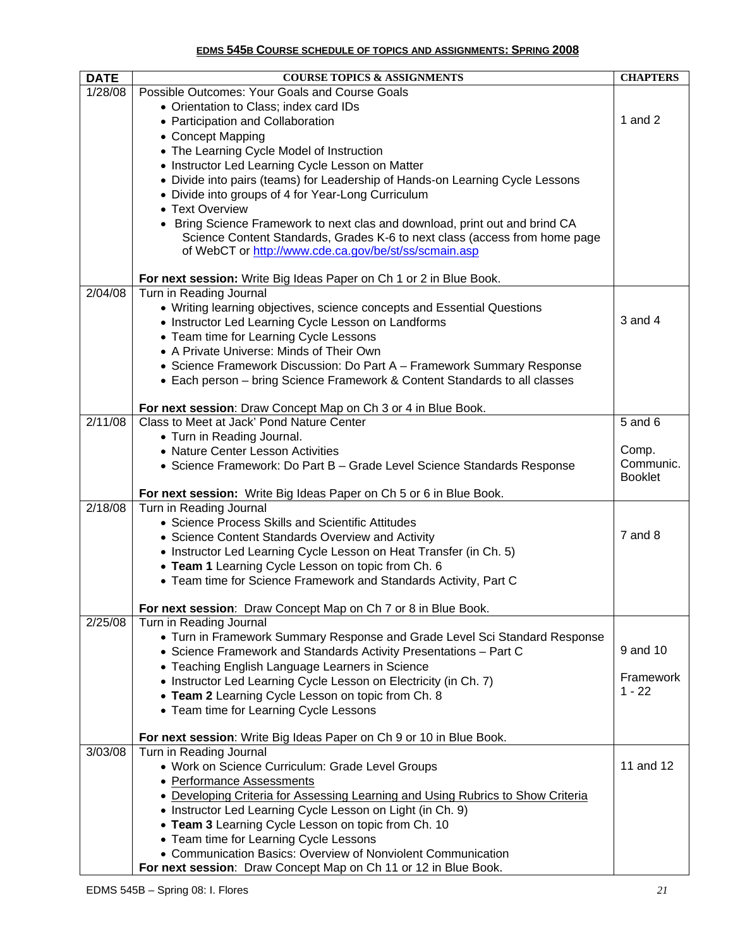## **EDMS 545B COURSE SCHEDULE OF TOPICS AND ASSIGNMENTS: SPRING 2008**

| <b>DATE</b> | <b>COURSE TOPICS &amp; ASSIGNMENTS</b>                                                                 | <b>CHAPTERS</b> |
|-------------|--------------------------------------------------------------------------------------------------------|-----------------|
| 1/28/08     | Possible Outcomes: Your Goals and Course Goals                                                         |                 |
|             | • Orientation to Class; index card IDs                                                                 |                 |
|             | • Participation and Collaboration                                                                      | 1 and $2$       |
|             | • Concept Mapping                                                                                      |                 |
|             | • The Learning Cycle Model of Instruction                                                              |                 |
|             | • Instructor Led Learning Cycle Lesson on Matter                                                       |                 |
|             | • Divide into pairs (teams) for Leadership of Hands-on Learning Cycle Lessons                          |                 |
|             | • Divide into groups of 4 for Year-Long Curriculum                                                     |                 |
|             | • Text Overview                                                                                        |                 |
|             | • Bring Science Framework to next clas and download, print out and brind CA                            |                 |
|             | Science Content Standards, Grades K-6 to next class (access from home page                             |                 |
|             | of WebCT or http://www.cde.ca.gov/be/st/ss/scmain.asp                                                  |                 |
|             | For next session: Write Big Ideas Paper on Ch 1 or 2 in Blue Book.                                     |                 |
| 2/04/08     | Turn in Reading Journal                                                                                |                 |
|             | • Writing learning objectives, science concepts and Essential Questions                                |                 |
|             | • Instructor Led Learning Cycle Lesson on Landforms                                                    | $3$ and $4$     |
|             | • Team time for Learning Cycle Lessons                                                                 |                 |
|             | • A Private Universe: Minds of Their Own                                                               |                 |
|             | • Science Framework Discussion: Do Part A - Framework Summary Response                                 |                 |
|             | • Each person - bring Science Framework & Content Standards to all classes                             |                 |
|             |                                                                                                        |                 |
|             | For next session: Draw Concept Map on Ch 3 or 4 in Blue Book.                                          |                 |
| 2/11/08     | Class to Meet at Jack' Pond Nature Center                                                              | $5$ and $6$     |
|             | • Turn in Reading Journal.<br>• Nature Center Lesson Activities                                        | Comp.           |
|             |                                                                                                        | Communic.       |
|             | • Science Framework: Do Part B - Grade Level Science Standards Response                                | <b>Booklet</b>  |
|             | For next session: Write Big Ideas Paper on Ch 5 or 6 in Blue Book.                                     |                 |
| 2/18/08     | Turn in Reading Journal                                                                                |                 |
|             | • Science Process Skills and Scientific Attitudes                                                      |                 |
|             | • Science Content Standards Overview and Activity                                                      | $7$ and $8$     |
|             | • Instructor Led Learning Cycle Lesson on Heat Transfer (in Ch. 5)                                     |                 |
|             | • Team 1 Learning Cycle Lesson on topic from Ch. 6                                                     |                 |
|             | • Team time for Science Framework and Standards Activity, Part C                                       |                 |
|             |                                                                                                        |                 |
| 2/25/08     | For next session: Draw Concept Map on Ch 7 or 8 in Blue Book.<br>Turn in Reading Journal               |                 |
|             | • Turn in Framework Summary Response and Grade Level Sci Standard Response                             |                 |
|             | • Science Framework and Standards Activity Presentations - Part C                                      | 9 and 10        |
|             | • Teaching English Language Learners in Science                                                        |                 |
|             | • Instructor Led Learning Cycle Lesson on Electricity (in Ch. 7)                                       | Framework       |
|             | • Team 2 Learning Cycle Lesson on topic from Ch. 8                                                     | $1 - 22$        |
|             | • Team time for Learning Cycle Lessons                                                                 |                 |
|             |                                                                                                        |                 |
|             | For next session: Write Big Ideas Paper on Ch 9 or 10 in Blue Book.                                    |                 |
| 3/03/08     | Turn in Reading Journal                                                                                |                 |
|             | • Work on Science Curriculum: Grade Level Groups                                                       | 11 and 12       |
|             | • Performance Assessments                                                                              |                 |
|             | • Developing Criteria for Assessing Learning and Using Rubrics to Show Criteria                        |                 |
|             | • Instructor Led Learning Cycle Lesson on Light (in Ch. 9)                                             |                 |
|             | • Team 3 Learning Cycle Lesson on topic from Ch. 10                                                    |                 |
|             | • Team time for Learning Cycle Lessons<br>• Communication Basics: Overview of Nonviolent Communication |                 |
|             | For next session: Draw Concept Map on Ch 11 or 12 in Blue Book.                                        |                 |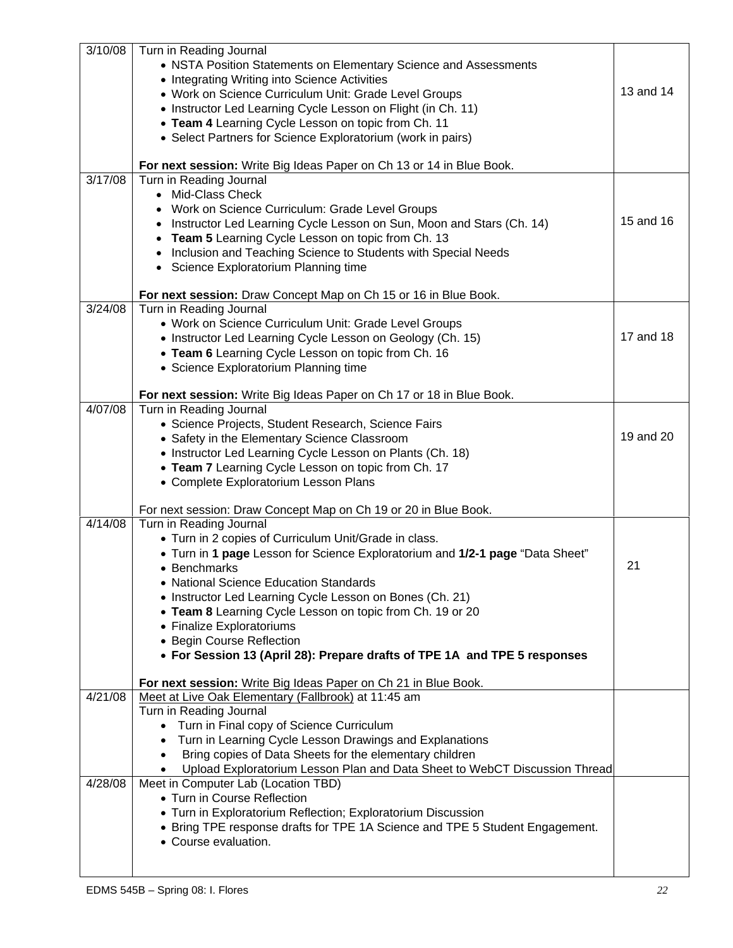| 3/10/08<br>3/17/08 | Turn in Reading Journal<br>• NSTA Position Statements on Elementary Science and Assessments<br>• Integrating Writing into Science Activities<br>• Work on Science Curriculum Unit: Grade Level Groups<br>• Instructor Led Learning Cycle Lesson on Flight (in Ch. 11)<br>• Team 4 Learning Cycle Lesson on topic from Ch. 11<br>• Select Partners for Science Exploratorium (work in pairs)<br>For next session: Write Big Ideas Paper on Ch 13 or 14 in Blue Book.<br>Turn in Reading Journal<br>Mid-Class Check<br>Work on Science Curriculum: Grade Level Groups<br>Instructor Led Learning Cycle Lesson on Sun, Moon and Stars (Ch. 14) | 13 and 14<br>15 and 16 |
|--------------------|---------------------------------------------------------------------------------------------------------------------------------------------------------------------------------------------------------------------------------------------------------------------------------------------------------------------------------------------------------------------------------------------------------------------------------------------------------------------------------------------------------------------------------------------------------------------------------------------------------------------------------------------|------------------------|
|                    | Team 5 Learning Cycle Lesson on topic from Ch. 13<br>Inclusion and Teaching Science to Students with Special Needs<br>Science Exploratorium Planning time<br>For next session: Draw Concept Map on Ch 15 or 16 in Blue Book.                                                                                                                                                                                                                                                                                                                                                                                                                |                        |
| 3/24/08            | Turn in Reading Journal<br>• Work on Science Curriculum Unit: Grade Level Groups<br>• Instructor Led Learning Cycle Lesson on Geology (Ch. 15)<br>• Team 6 Learning Cycle Lesson on topic from Ch. 16<br>• Science Exploratorium Planning time<br>For next session: Write Big Ideas Paper on Ch 17 or 18 in Blue Book.                                                                                                                                                                                                                                                                                                                      | 17 and 18              |
| 4/07/08            | Turn in Reading Journal<br>• Science Projects, Student Research, Science Fairs<br>• Safety in the Elementary Science Classroom<br>• Instructor Led Learning Cycle Lesson on Plants (Ch. 18)<br>• Team 7 Learning Cycle Lesson on topic from Ch. 17<br>• Complete Exploratorium Lesson Plans                                                                                                                                                                                                                                                                                                                                                 | 19 and 20              |
|                    | For next session: Draw Concept Map on Ch 19 or 20 in Blue Book.                                                                                                                                                                                                                                                                                                                                                                                                                                                                                                                                                                             |                        |
| 4/14/08            | Turn in Reading Journal<br>• Turn in 2 copies of Curriculum Unit/Grade in class.<br>• Turn in 1 page Lesson for Science Exploratorium and 1/2-1 page "Data Sheet"<br>• Benchmarks<br>• National Science Education Standards                                                                                                                                                                                                                                                                                                                                                                                                                 | 21                     |
|                    | • Instructor Led Learning Cycle Lesson on Bones (Ch. 21)<br>• Team 8 Learning Cycle Lesson on topic from Ch. 19 or 20<br>• Finalize Exploratoriums<br>• Begin Course Reflection<br>• For Session 13 (April 28): Prepare drafts of TPE 1A and TPE 5 responses                                                                                                                                                                                                                                                                                                                                                                                |                        |
|                    |                                                                                                                                                                                                                                                                                                                                                                                                                                                                                                                                                                                                                                             |                        |
| 4/21/08            | For next session: Write Big Ideas Paper on Ch 21 in Blue Book.<br>Meet at Live Oak Elementary (Fallbrook) at 11:45 am                                                                                                                                                                                                                                                                                                                                                                                                                                                                                                                       |                        |
|                    | Turn in Reading Journal                                                                                                                                                                                                                                                                                                                                                                                                                                                                                                                                                                                                                     |                        |
|                    | Turn in Final copy of Science Curriculum<br>Turn in Learning Cycle Lesson Drawings and Explanations                                                                                                                                                                                                                                                                                                                                                                                                                                                                                                                                         |                        |
|                    | Bring copies of Data Sheets for the elementary children<br>$\bullet$                                                                                                                                                                                                                                                                                                                                                                                                                                                                                                                                                                        |                        |
|                    | Upload Exploratorium Lesson Plan and Data Sheet to WebCT Discussion Thread                                                                                                                                                                                                                                                                                                                                                                                                                                                                                                                                                                  |                        |
| 4/28/08            | Meet in Computer Lab (Location TBD)<br>• Turn in Course Reflection                                                                                                                                                                                                                                                                                                                                                                                                                                                                                                                                                                          |                        |
|                    | • Turn in Exploratorium Reflection; Exploratorium Discussion                                                                                                                                                                                                                                                                                                                                                                                                                                                                                                                                                                                |                        |
|                    | • Bring TPE response drafts for TPE 1A Science and TPE 5 Student Engagement.<br>• Course evaluation.                                                                                                                                                                                                                                                                                                                                                                                                                                                                                                                                        |                        |
|                    |                                                                                                                                                                                                                                                                                                                                                                                                                                                                                                                                                                                                                                             |                        |